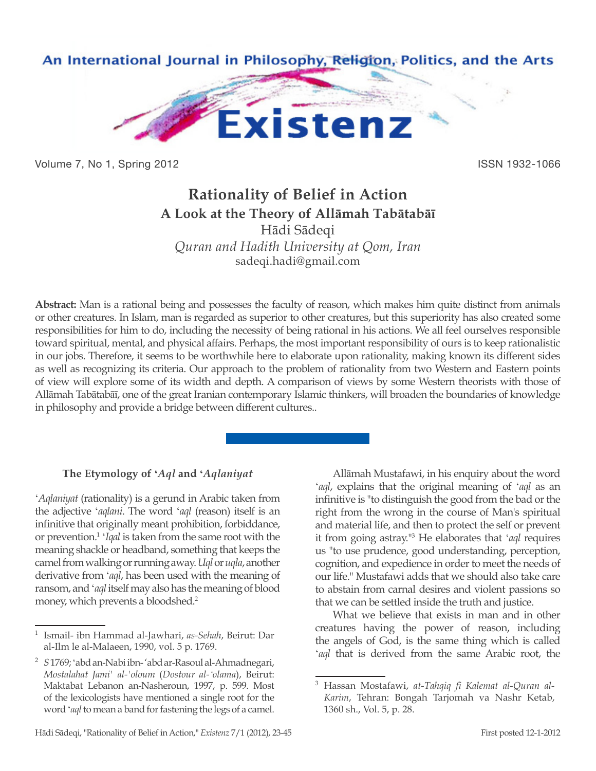

Volume 7, No 1, Spring 2012 **ISSN 1932-1066** 

# **Rationality of Belief in Action A Look at the Theory of Allāmah Tabātabāī**

Hādi Sādeqi

*Quran and Hadith University at Qom, Iran* sadeqi.hadi@gmail.com

**Abstract:** Man is a rational being and possesses the faculty of reason, which makes him quite distinct from animals or other creatures. In Islam, man is regarded as superior to other creatures, but this superiority has also created some responsibilities for him to do, including the necessity of being rational in his actions. We all feel ourselves responsible toward spiritual, mental, and physical affairs. Perhaps, the most important responsibility of ours is to keep rationalistic in our jobs. Therefore, it seems to be worthwhile here to elaborate upon rationality, making known its different sides as well as recognizing its criteria. Our approach to the problem of rationality from two Western and Eastern points of view will explore some of its width and depth. A comparison of views by some Western theorists with those of Allāmah Tabātabāī, one of the great Iranian contemporary Islamic thinkers, will broaden the boundaries of knowledge in philosophy and provide a bridge between different cultures..

# **The Etymology of '***Aql* **and '***Aqlaniyat*

'*Aqlaniyat* (rationality) is a gerund in Arabic taken from the adjective '*aqlani*. The word '*aql* (reason) itself is an infinitive that originally meant prohibition, forbiddance, or prevention.1 '*Iqal* is taken from the same root with the meaning shackle or headband, something that keeps the camel from walking or running away. *Uql* or *uqla*, another derivative from '*aql*, has been used with the meaning of ransom, and '*aql* itself may also has the meaning of blood money, which prevents a bloodshed.2

Allāmah Mustafawi, in his enquiry about the word '*aql*, explains that the original meaning of '*aql* as an infinitive is "to distinguish the good from the bad or the right from the wrong in the course of Man's spiritual and material life, and then to protect the self or prevent it from going astray."<sup>3</sup> He elaborates that '*aql* requires us "to use prudence, good understanding, perception, cognition, and expedience in order to meet the needs of our life." Mustafawi adds that we should also take care to abstain from carnal desires and violent passions so that we can be settled inside the truth and justice.

What we believe that exists in man and in other creatures having the power of reason, including the angels of God, is the same thing which is called '*aql* that is derived from the same Arabic root, the

<sup>1</sup> Ismail- ibn Hammad al-Jawhari, *as-Sehah*, Beirut: Dar al-Ilm le al-Malaeen, 1990, vol. 5 p. 1769.

<sup>2</sup> *S* 1769; 'abd an-Nabi ibn- 'abd ar-Rasoul al-Ahmadnegari, *Mostalahat Jami' al-'oloum* (*Dostour al-'olama*), Beirut: Maktabat Lebanon an-Nasheroun, 1997, p. 599. Most of the lexicologists have mentioned a single root for the word '*aql* to mean a band for fastening the legs of a camel.

<sup>3</sup> Hassan Mostafawi, *at-Tahqiq fi Kalemat al-Quran al-Karim*, Tehran: Bongah Tarjomah va Nashr Ketab, 1360 sh., Vol. 5, p. 28.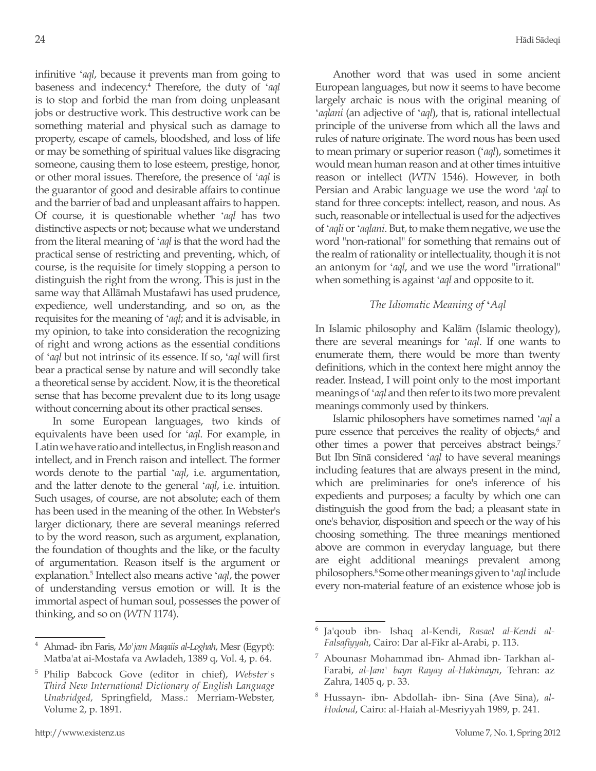infinitive '*aql*, because it prevents man from going to baseness and indecency.4 Therefore, the duty of '*aql* is to stop and forbid the man from doing unpleasant jobs or destructive work. This destructive work can be something material and physical such as damage to property, escape of camels, bloodshed, and loss of life or may be something of spiritual values like disgracing someone, causing them to lose esteem, prestige, honor, or other moral issues. Therefore, the presence of '*aql* is the guarantor of good and desirable affairs to continue and the barrier of bad and unpleasant affairs to happen. Of course, it is questionable whether '*aql* has two distinctive aspects or not; because what we understand from the literal meaning of '*aql* is that the word had the practical sense of restricting and preventing, which, of course, is the requisite for timely stopping a person to distinguish the right from the wrong. This is just in the same way that Allāmah Mustafawi has used prudence, expedience, well understanding, and so on, as the requisites for the meaning of '*aql*; and it is advisable, in my opinion, to take into consideration the recognizing of right and wrong actions as the essential conditions of '*aql* but not intrinsic of its essence. If so, '*aql* will first bear a practical sense by nature and will secondly take a theoretical sense by accident. Now, it is the theoretical sense that has become prevalent due to its long usage without concerning about its other practical senses.

In some European languages, two kinds of equivalents have been used for '*aql*. For example, in Latin we have ratio and intellectus, in English reason and intellect, and in French raison and intellect. The former words denote to the partial '*aql*, i.e. argumentation, and the latter denote to the general '*aql*, i.e. intuition. Such usages, of course, are not absolute; each of them has been used in the meaning of the other. In Webster's larger dictionary, there are several meanings referred to by the word reason, such as argument, explanation, the foundation of thoughts and the like, or the faculty of argumentation. Reason itself is the argument or explanation.5 Intellect also means active '*aql*, the power of understanding versus emotion or will. It is the immortal aspect of human soul, possesses the power of thinking, and so on (*WTN* 1174).

Another word that was used in some ancient European languages, but now it seems to have become largely archaic is nous with the original meaning of '*aqlani* (an adjective of '*aql*), that is, rational intellectual principle of the universe from which all the laws and rules of nature originate. The word nous has been used to mean primary or superior reason ('*aql*), sometimes it would mean human reason and at other times intuitive reason or intellect (*WTN* 1546). However, in both Persian and Arabic language we use the word '*aql* to stand for three concepts: intellect, reason, and nous. As such, reasonable or intellectual is used for the adjectives of '*aqli* or '*aqlani*. But, to make them negative, we use the word "non-rational" for something that remains out of the realm of rationality or intellectuality, though it is not an antonym for '*aql*, and we use the word "irrational" when something is against '*aql* and opposite to it.

# *The Idiomatic Meaning of* **'***Aql*

In Islamic philosophy and Kalām (Islamic theology), there are several meanings for '*aql*. If one wants to enumerate them, there would be more than twenty definitions, which in the context here might annoy the reader. Instead, I will point only to the most important meanings of '*aql* and then refer to its two more prevalent meanings commonly used by thinkers.

Islamic philosophers have sometimes named '*aql* a pure essence that perceives the reality of objects,<sup>6</sup> and other times a power that perceives abstract beings.<sup>7</sup> But Ibn Sīnā considered '*aql* to have several meanings including features that are always present in the mind, which are preliminaries for one's inference of his expedients and purposes; a faculty by which one can distinguish the good from the bad; a pleasant state in one's behavior, disposition and speech or the way of his choosing something. The three meanings mentioned above are common in everyday language, but there are eight additional meanings prevalent among philosophers.8 Some other meanings given to '*aql* include every non-material feature of an existence whose job is

<sup>4</sup> Ahmad- ibn Faris, *Mo'jam Maqaiis al-Loghah*, Mesr (Egypt): Matba'at ai-Mostafa va Awladeh, 1389 q, Vol. 4, p. 64.

<sup>5</sup> Philip Babcock Gove (editor in chief), *Webster's Third New International Dictionary of English Language Unabridged*, Springfield, Mass.: Merriam-Webster, Volume 2, p. 1891.

<sup>6</sup> Ja'qoub ibn- Ishaq al-Kendi, *Rasael al-Kendi al-Falsafiyyah*, Cairo: Dar al-Fikr al-Arabi, p. 113.

<sup>7</sup> Abounasr Mohammad ibn- Ahmad ibn- Tarkhan al-Farabi, *al-Jam' bayn Rayay al-Hakimayn*, Tehran: az Zahra, 1405 q, p. 33.

Hussayn- ibn- Abdollah- ibn- Sina (Ave Sina), al-*Hodoud*, Cairo: al-Haiah al-Mesriyyah 1989, p. 241.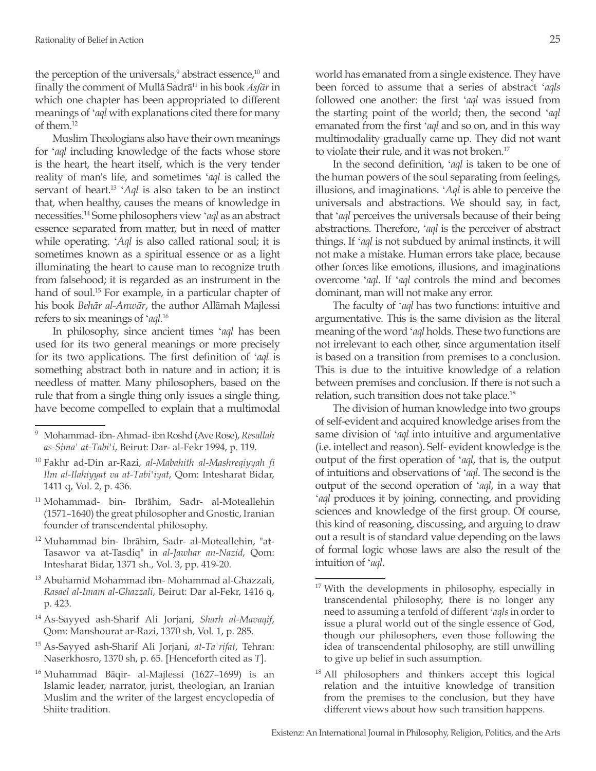the perception of the universals,<sup>9</sup> abstract essence,<sup>10</sup> and finally the comment of Mullā Sadrā11 in his book *Asfār* in which one chapter has been appropriated to different meanings of '*aql* with explanations cited there for many of them.12

Muslim Theologians also have their own meanings for '*aql* including knowledge of the facts whose store is the heart, the heart itself, which is the very tender reality of man's life, and sometimes '*aql* is called the servant of heart.13 '*Aql* is also taken to be an instinct that, when healthy, causes the means of knowledge in necessities.14 Some philosophers view '*aql* as an abstract essence separated from matter, but in need of matter while operating. '*Aql* is also called rational soul; it is sometimes known as a spiritual essence or as a light illuminating the heart to cause man to recognize truth from falsehood; it is regarded as an instrument in the hand of soul.<sup>15</sup> For example, in a particular chapter of his book *Behār al-Anwār*, the author Allāmah Majlessi refers to six meanings of '*aql*. 16

In philosophy, since ancient times '*aql* has been used for its two general meanings or more precisely for its two applications. The first definition of '*aql* is something abstract both in nature and in action; it is needless of matter. Many philosophers, based on the rule that from a single thing only issues a single thing, have become compelled to explain that a multimodal

- <sup>10</sup> Fakhr ad-Din ar-Razi, *al-Mabahith al-Mashreqiyyah fi Ilm al-Ilahiyyat va at-Tabi'iyat*, Qom: Intesharat Bidar, 1411 q, Vol. 2, p. 436.
- <sup>11</sup> Mohammad- bin- Ibrāhim, Sadr- al-Moteallehin (1571–1640) the great philosopher and Gnostic, Iranian founder of transcendental philosophy.
- <sup>12</sup> Muhammad bin- Ibrāhim, Sadr- al-Moteallehin, "at-Tasawor va at-Tasdiq" in *al-Jawhar an-Nazid*, Qom: Intesharat Bidar, 1371 sh., Vol. 3, pp. 419-20.
- <sup>13</sup> Abuhamid Mohammad ibn- Mohammad al-Ghazzali, *Rasael al-Imam al-Ghazzali*, Beirut: Dar al-Fekr, 1416 q, p. 423.
- <sup>14</sup> As-Sayyed ash-Sharif Ali Jorjani, *Sharh al-Mavaqif*, Qom: Manshourat ar-Razi, 1370 sh, Vol. 1, p. 285.
- <sup>15</sup> As-Sayyed ash-Sharif Ali Jorjani, *at-Ta'rifat*, Tehran: Naserkhosro, 1370 sh, p. 65. [Henceforth cited as *T*].
- <sup>16</sup> Muhammad Bāqir- al-Majlessi (1627–1699) is an Islamic leader, narrator, jurist, theologian, an Iranian Muslim and the writer of the largest encyclopedia of Shiite tradition.

world has emanated from a single existence. They have been forced to assume that a series of abstract '*aqls* followed one another: the first '*aql* was issued from the starting point of the world; then, the second '*aql* emanated from the first '*aql* and so on, and in this way multimodality gradually came up. They did not want to violate their rule, and it was not broken.<sup>17</sup>

In the second definition, '*aql* is taken to be one of the human powers of the soul separating from feelings, illusions, and imaginations. '*Aql* is able to perceive the universals and abstractions. We should say, in fact, that '*aql* perceives the universals because of their being abstractions. Therefore, '*aql* is the perceiver of abstract things. If '*aql* is not subdued by animal instincts, it will not make a mistake. Human errors take place, because other forces like emotions, illusions, and imaginations overcome '*aql*. If '*aql* controls the mind and becomes dominant, man will not make any error.

The faculty of '*aql* has two functions: intuitive and argumentative. This is the same division as the literal meaning of the word '*aql* holds. These two functions are not irrelevant to each other, since argumentation itself is based on a transition from premises to a conclusion. This is due to the intuitive knowledge of a relation between premises and conclusion. If there is not such a relation, such transition does not take place.18

The division of human knowledge into two groups of self-evident and acquired knowledge arises from the same division of '*aql* into intuitive and argumentative (i.e. intellect and reason). Self- evident knowledge is the output of the first operation of '*aql*, that is, the output of intuitions and observations of '*aql*. The second is the output of the second operation of '*aql*, in a way that '*aql* produces it by joining, connecting, and providing sciences and knowledge of the first group. Of course, this kind of reasoning, discussing, and arguing to draw out a result is of standard value depending on the laws of formal logic whose laws are also the result of the intuition of '*aql*.

<sup>9</sup> Mohammad- ibn- Ahmad- ibn Roshd (Ave Rose), *Resallah as-Sima' at-Tabi'i*, Beirut: Dar- al-Fekr 1994, p. 119.

 $17$  With the developments in philosophy, especially in transcendental philosophy, there is no longer any need to assuming a tenfold of different '*aqls* in order to issue a plural world out of the single essence of God, though our philosophers, even those following the idea of transcendental philosophy, are still unwilling to give up belief in such assumption.

<sup>&</sup>lt;sup>18</sup> All philosophers and thinkers accept this logical relation and the intuitive knowledge of transition from the premises to the conclusion, but they have different views about how such transition happens.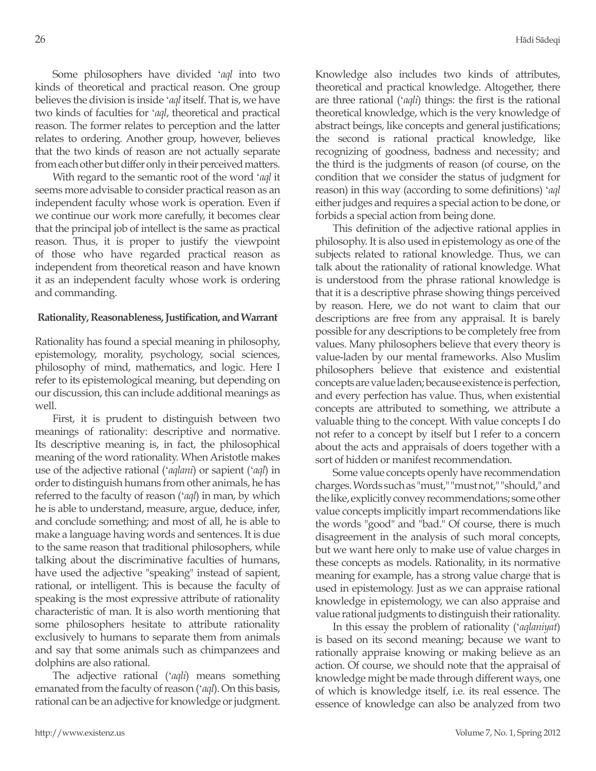Some philosophers have divided '*aql* into two kinds of theoretical and practical reason. One group believes the division is inside '*aql* itself. That is, we have two kinds of faculties for '*aql*, theoretical and practical reason. The former relates to perception and the latter relates to ordering. Another group, however, believes that the two kinds of reason are not actually separate from each other but differ only in their perceived matters.

With regard to the semantic root of the word '*aql* it seems more advisable to consider practical reason as an independent faculty whose work is operation. Even if we continue our work more carefully, it becomes clear that the principal job of intellect is the same as practical reason. Thus, it is proper to justify the viewpoint of those who have regarded practical reason as independent from theoretical reason and have known it as an independent faculty whose work is ordering and commanding.

# **Rationality, Reasonableness, Justification, and Warrant**

Rationality has found a special meaning in philosophy, epistemology, morality, psychology, social sciences, philosophy of mind, mathematics, and logic. Here I refer to its epistemological meaning, but depending on our discussion, this can include additional meanings as well.

First, it is prudent to distinguish between two meanings of rationality: descriptive and normative. Its descriptive meaning is, in fact, the philosophical meaning of the word rationality. When Aristotle makes use of the adjective rational ('*aqlani*) or sapient ('*aql*) in order to distinguish humans from other animals, he has referred to the faculty of reason ('*aql*) in man, by which he is able to understand, measure, argue, deduce, infer, and conclude something; and most of all, he is able to make a language having words and sentences. It is due to the same reason that traditional philosophers, while talking about the discriminative faculties of humans, have used the adjective "speaking" instead of sapient, rational, or intelligent. This is because the faculty of speaking is the most expressive attribute of rationality characteristic of man. It is also worth mentioning that some philosophers hesitate to attribute rationality exclusively to humans to separate them from animals and say that some animals such as chimpanzees and dolphins are also rational.

The adjective rational ('*aqli*) means something emanated from the faculty of reason ('*aql*). On this basis, rational can be an adjective for knowledge or judgment. Knowledge also includes two kinds of attributes, theoretical and practical knowledge. Altogether, there are three rational ('*aqli*) things: the first is the rational theoretical knowledge, which is the very knowledge of abstract beings, like concepts and general justifications; the second is rational practical knowledge, like recognizing of goodness, badness and necessity; and the third is the judgments of reason (of course, on the condition that we consider the status of judgment for reason) in this way (according to some definitions) '*aql* either judges and requires a special action to be done, or forbids a special action from being done.

This definition of the adjective rational applies in philosophy. It is also used in epistemology as one of the subjects related to rational knowledge. Thus, we can talk about the rationality of rational knowledge. What is understood from the phrase rational knowledge is that it is a descriptive phrase showing things perceived by reason. Here, we do not want to claim that our descriptions are free from any appraisal. It is barely possible for any descriptions to be completely free from values. Many philosophers believe that every theory is value-laden by our mental frameworks. Also Muslim philosophers believe that existence and existential concepts are value laden; because existence is perfection, and every perfection has value. Thus, when existential concepts are attributed to something, we attribute a valuable thing to the concept. With value concepts I do not refer to a concept by itself but I refer to a concern about the acts and appraisals of doers together with a sort of hidden or manifest recommendation.

Some value concepts openly have recommendation charges. Words such as "must," "must not," "should," and the like, explicitly convey recommendations; some other value concepts implicitly impart recommendations like the words "good" and "bad." Of course, there is much disagreement in the analysis of such moral concepts, but we want here only to make use of value charges in these concepts as models. Rationality, in its normative meaning for example, has a strong value charge that is used in epistemology. Just as we can appraise rational knowledge in epistemology, we can also appraise and value rational judgments to distinguish their rationality.

In this essay the problem of rationality ('*aqlaniyat*) is based on its second meaning; because we want to rationally appraise knowing or making believe as an action. Of course, we should note that the appraisal of knowledge might be made through different ways, one of which is knowledge itself, i.e. its real essence. The essence of knowledge can also be analyzed from two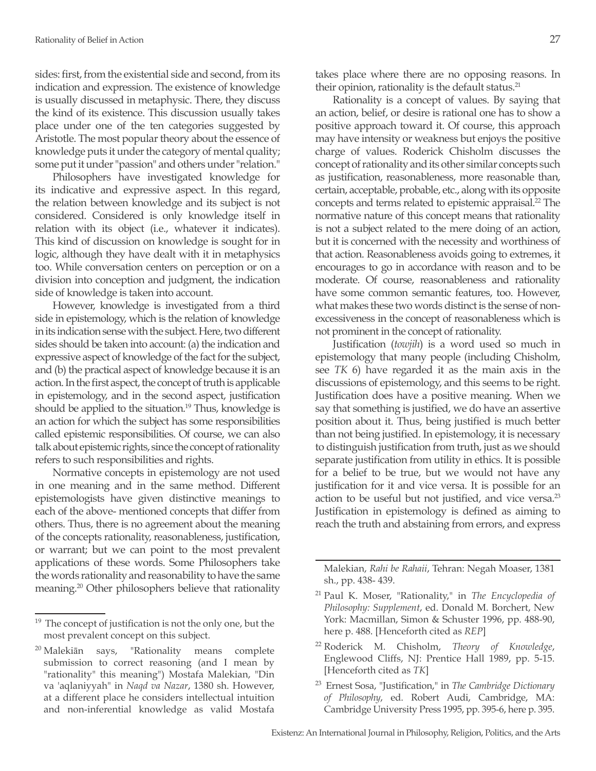sides: first, from the existential side and second, from its indication and expression. The existence of knowledge is usually discussed in metaphysic. There, they discuss the kind of its existence. This discussion usually takes place under one of the ten categories suggested by Aristotle. The most popular theory about the essence of knowledge puts it under the category of mental quality; some put it under "passion" and others under "relation."

Philosophers have investigated knowledge for its indicative and expressive aspect. In this regard, the relation between knowledge and its subject is not considered. Considered is only knowledge itself in relation with its object (i.e., whatever it indicates). This kind of discussion on knowledge is sought for in logic, although they have dealt with it in metaphysics too. While conversation centers on perception or on a division into conception and judgment, the indication side of knowledge is taken into account.

However, knowledge is investigated from a third side in epistemology, which is the relation of knowledge in its indication sense with the subject. Here, two different sides should be taken into account: (a) the indication and expressive aspect of knowledge of the fact for the subject, and (b) the practical aspect of knowledge because it is an action. In the first aspect, the concept of truth is applicable in epistemology, and in the second aspect, justification should be applied to the situation.<sup>19</sup> Thus, knowledge is an action for which the subject has some responsibilities called epistemic responsibilities. Of course, we can also talk about epistemic rights, since the concept of rationality refers to such responsibilities and rights.

Normative concepts in epistemology are not used in one meaning and in the same method. Different epistemologists have given distinctive meanings to each of the above- mentioned concepts that differ from others. Thus, there is no agreement about the meaning of the concepts rationality, reasonableness, justification, or warrant; but we can point to the most prevalent applications of these words. Some Philosophers take the words rationality and reasonability to have the same meaning.20 Other philosophers believe that rationality takes place where there are no opposing reasons. In their opinion, rationality is the default status.<sup>21</sup>

Rationality is a concept of values. By saying that an action, belief, or desire is rational one has to show a positive approach toward it. Of course, this approach may have intensity or weakness but enjoys the positive charge of values. Roderick Chisholm discusses the concept of rationality and its other similar concepts such as justification, reasonableness, more reasonable than, certain, acceptable, probable, etc., along with its opposite concepts and terms related to epistemic appraisal.<sup>22</sup> The normative nature of this concept means that rationality is not a subject related to the mere doing of an action, but it is concerned with the necessity and worthiness of that action. Reasonableness avoids going to extremes, it encourages to go in accordance with reason and to be moderate. Of course, reasonableness and rationality have some common semantic features, too. However, what makes these two words distinct is the sense of nonexcessiveness in the concept of reasonableness which is not prominent in the concept of rationality.

Justification (*towjih*) is a word used so much in epistemology that many people (including Chisholm, see *TK* 6) have regarded it as the main axis in the discussions of epistemology, and this seems to be right. Justification does have a positive meaning. When we say that something is justified, we do have an assertive position about it. Thus, being justified is much better than not being justified. In epistemology, it is necessary to distinguish justification from truth, just as we should separate justification from utility in ethics. It is possible for a belief to be true, but we would not have any justification for it and vice versa. It is possible for an action to be useful but not justified, and vice versa.<sup>23</sup> Justification in epistemology is defined as aiming to reach the truth and abstaining from errors, and express

Malekian, *Rahi be Rahaii*, Tehran: Negah Moaser, 1381 sh., pp. 438- 439.

- <sup>22</sup> Roderick M. Chisholm, *Theory of Knowledge*, Englewood Cliffs, NJ: Prentice Hall 1989, pp. 5-15. [Henceforth cited as *TK*]
- <sup>23</sup> Ernest Sosa, "Justification," in *The Cambridge Dictionary of Philosophy*, ed. Robert Audi, Cambridge, MA: Cambridge University Press 1995, pp. 395-6, here p. 395.

 $19$  The concept of justification is not the only one, but the most prevalent concept on this subject.

<sup>&</sup>lt;sup>20</sup> Malekiān says, "Rationality means complete submission to correct reasoning (and I mean by "rationality" this meaning") Mostafa Malekian, "Din va 'aqlaniyyah" in *Naqd va Nazar*, 1380 sh. However, at a different place he considers intellectual intuition and non-inferential knowledge as valid Mostafa

<sup>21</sup> Paul K. Moser, "Rationality," in *The Encyclopedia of Philosophy: Supplement*, ed. Donald M. Borchert, New York: Macmillan, Simon & Schuster 1996, pp. 488-90, here p. 488. [Henceforth cited as *REP*]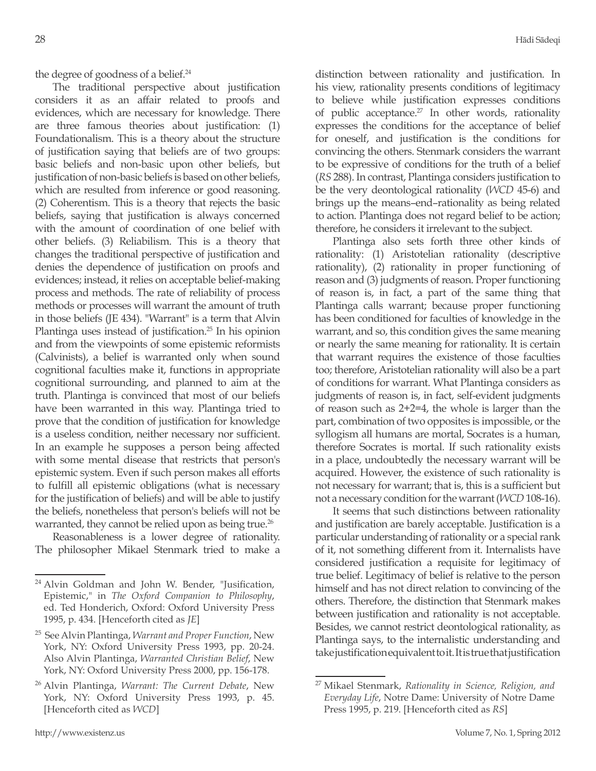the degree of goodness of a belief.<sup>24</sup>

The traditional perspective about justification considers it as an affair related to proofs and evidences, which are necessary for knowledge. There are three famous theories about justification: (1) Foundationalism. This is a theory about the structure of justification saying that beliefs are of two groups: basic beliefs and non-basic upon other beliefs, but justification of non-basic beliefs is based on other beliefs, which are resulted from inference or good reasoning. (2) Coherentism. This is a theory that rejects the basic beliefs, saying that justification is always concerned with the amount of coordination of one belief with other beliefs. (3) Reliabilism. This is a theory that changes the traditional perspective of justification and denies the dependence of justification on proofs and evidences; instead, it relies on acceptable belief-making process and methods. The rate of reliability of process methods or processes will warrant the amount of truth in those beliefs (JE 434). "Warrant" is a term that Alvin Plantinga uses instead of justification.<sup>25</sup> In his opinion and from the viewpoints of some epistemic reformists (Calvinists), a belief is warranted only when sound cognitional faculties make it, functions in appropriate cognitional surrounding, and planned to aim at the truth. Plantinga is convinced that most of our beliefs have been warranted in this way. Plantinga tried to prove that the condition of justification for knowledge is a useless condition, neither necessary nor sufficient. In an example he supposes a person being affected with some mental disease that restricts that person's epistemic system. Even if such person makes all efforts to fulfill all epistemic obligations (what is necessary for the justification of beliefs) and will be able to justify the beliefs, nonetheless that person's beliefs will not be warranted, they cannot be relied upon as being true.<sup>26</sup>

Reasonableness is a lower degree of rationality. The philosopher Mikael Stenmark tried to make a distinction between rationality and justification. In his view, rationality presents conditions of legitimacy to believe while justification expresses conditions of public acceptance. $27$  In other words, rationality expresses the conditions for the acceptance of belief for oneself, and justification is the conditions for convincing the others. Stenmark considers the warrant to be expressive of conditions for the truth of a belief (*RS* 288). In contrast, Plantinga considers justification to be the very deontological rationality (*WCD* 45-6) and brings up the means–end–rationality as being related to action. Plantinga does not regard belief to be action; therefore, he considers it irrelevant to the subject.

Plantinga also sets forth three other kinds of rationality: (1) Aristotelian rationality (descriptive rationality), (2) rationality in proper functioning of reason and (3) judgments of reason. Proper functioning of reason is, in fact, a part of the same thing that Plantinga calls warrant; because proper functioning has been conditioned for faculties of knowledge in the warrant, and so, this condition gives the same meaning or nearly the same meaning for rationality. It is certain that warrant requires the existence of those faculties too; therefore, Aristotelian rationality will also be a part of conditions for warrant. What Plantinga considers as judgments of reason is, in fact, self-evident judgments of reason such as 2+2=4, the whole is larger than the part, combination of two opposites is impossible, or the syllogism all humans are mortal, Socrates is a human, therefore Socrates is mortal. If such rationality exists in a place, undoubtedly the necessary warrant will be acquired. However, the existence of such rationality is not necessary for warrant; that is, this is a sufficient but not a necessary condition for the warrant (*WCD* 108-16).

It seems that such distinctions between rationality and justification are barely acceptable. Justification is a particular understanding of rationality or a special rank of it, not something different from it. Internalists have considered justification a requisite for legitimacy of true belief. Legitimacy of belief is relative to the person himself and has not direct relation to convincing of the others. Therefore, the distinction that Stenmark makes between justification and rationality is not acceptable. Besides, we cannot restrict deontological rationality, as Plantinga says, to the internalistic understanding and take justification equivalent to it. It is true that justification

<sup>&</sup>lt;sup>24</sup> Alvin Goldman and John W. Bender, "Jusification, Epistemic," in *The Oxford Companion to Philosophy*, ed. Ted Honderich, Oxford: Oxford University Press 1995, p. 434. [Henceforth cited as *JE*]

<sup>25</sup> See Alvin Plantinga, *Warrant and Proper Function*, New York, NY: Oxford University Press 1993, pp. 20-24. Also Alvin Plantinga, *Warranted Christian Belief*, New York, NY: Oxford University Press 2000, pp. 156-178.

<sup>26</sup> Alvin Plantinga, *Warrant: The Current Debate*, New York, NY: Oxford University Press 1993, p. 45. [Henceforth cited as *WCD*]

<sup>27</sup> Mikael Stenmark, *Rationality in Science, Religion, and Everyday Life*, Notre Dame: University of Notre Dame Press 1995, p. 219. [Henceforth cited as *RS*]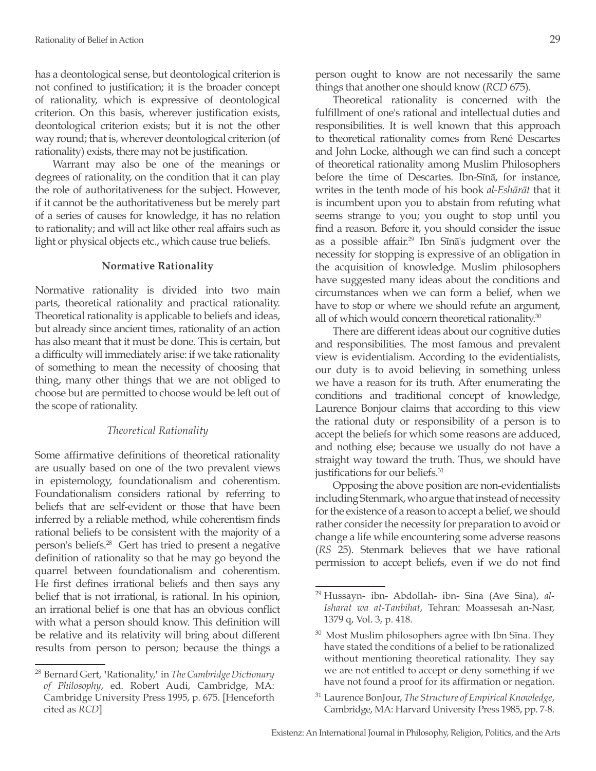has a deontological sense, but deontological criterion is not confined to justification; it is the broader concept of rationality, which is expressive of deontological criterion. On this basis, wherever justification exists, deontological criterion exists; but it is not the other way round; that is, wherever deontological criterion (of rationality) exists, there may not be justification.

Warrant may also be one of the meanings or degrees of rationality, on the condition that it can play the role of authoritativeness for the subject. However, if it cannot be the authoritativeness but be merely part of a series of causes for knowledge, it has no relation to rationality; and will act like other real affairs such as light or physical objects etc., which cause true beliefs.

#### **Normative Rationality**

Normative rationality is divided into two main parts, theoretical rationality and practical rationality. Theoretical rationality is applicable to beliefs and ideas, but already since ancient times, rationality of an action has also meant that it must be done. This is certain, but a difficulty will immediately arise: if we take rationality of something to mean the necessity of choosing that thing, many other things that we are not obliged to choose but are permitted to choose would be left out of the scope of rationality.

### *Theoretical Rationality*

Some affirmative definitions of theoretical rationality are usually based on one of the two prevalent views in epistemology, foundationalism and coherentism. Foundationalism considers rational by referring to beliefs that are self-evident or those that have been inferred by a reliable method, while coherentism finds rational beliefs to be consistent with the majority of a person's beliefs.28 Gert has tried to present a negative definition of rationality so that he may go beyond the quarrel between foundationalism and coherentism. He first defines irrational beliefs and then says any belief that is not irrational, is rational. In his opinion, an irrational belief is one that has an obvious conflict with what a person should know. This definition will be relative and its relativity will bring about different results from person to person; because the things a person ought to know are not necessarily the same things that another one should know (*RCD* 675).

Theoretical rationality is concerned with the fulfillment of one's rational and intellectual duties and responsibilities. It is well known that this approach to theoretical rationality comes from René Descartes and John Locke, although we can find such a concept of theoretical rationality among Muslim Philosophers before the time of Descartes. Ibn-Sīnā, for instance, writes in the tenth mode of his book *al-Eshārāt* that it is incumbent upon you to abstain from refuting what seems strange to you; you ought to stop until you find a reason. Before it, you should consider the issue as a possible affair.29 Ibn Sīnā's judgment over the necessity for stopping is expressive of an obligation in the acquisition of knowledge. Muslim philosophers have suggested many ideas about the conditions and circumstances when we can form a belief, when we have to stop or where we should refute an argument, all of which would concern theoretical rationality.<sup>30</sup>

There are different ideas about our cognitive duties and responsibilities. The most famous and prevalent view is evidentialism. According to the evidentialists, our duty is to avoid believing in something unless we have a reason for its truth. After enumerating the conditions and traditional concept of knowledge, Laurence Bonjour claims that according to this view the rational duty or responsibility of a person is to accept the beliefs for which some reasons are adduced, and nothing else; because we usually do not have a straight way toward the truth. Thus, we should have justifications for our beliefs.<sup>31</sup>

Opposing the above position are non-evidentialists including Stenmark, who argue that instead of necessity for the existence of a reason to accept a belief, we should rather consider the necessity for preparation to avoid or change a life while encountering some adverse reasons (*RS* 25). Stenmark believes that we have rational permission to accept beliefs, even if we do not find

<sup>28</sup> Bernard Gert, "Rationality," in *The Cambridge Dictionary of Philosophy*, ed. Robert Audi, Cambridge, MA: Cambridge University Press 1995, p. 675. [Henceforth cited as *RCD*]

<sup>29</sup> Hussayn- ibn- Abdollah- ibn- Sina (Ave Sina), *al-Isharat wa at-Tanbihat*, Tehran: Moassesah an-Nasr, 1379 q, Vol. 3, p. 418.

 $30$  Most Muslim philosophers agree with Ibn Sīna. They have stated the conditions of a belief to be rationalized without mentioning theoretical rationality. They say we are not entitled to accept or deny something if we have not found a proof for its affirmation or negation.

<sup>31</sup> Laurence BonJour, *The Structure of Empirical Knowledge*, Cambridge, MA: Harvard University Press 1985, pp. 7-8.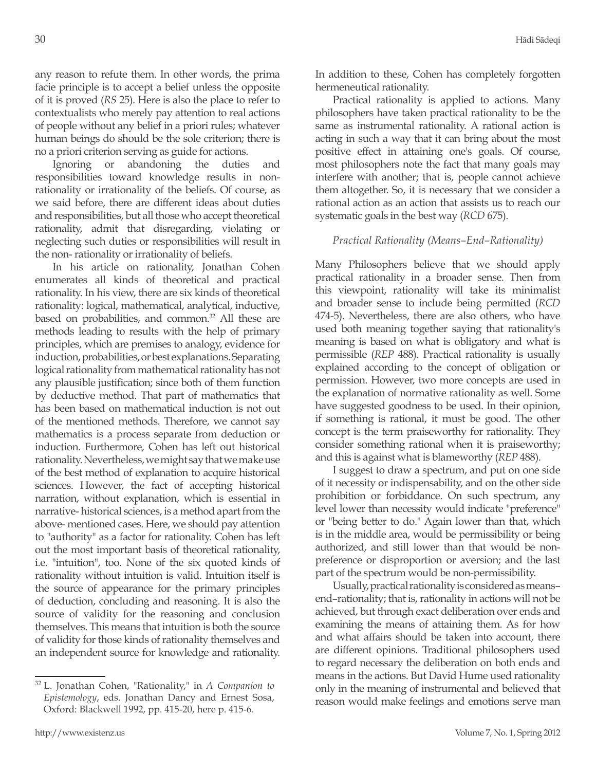any reason to refute them. In other words, the prima facie principle is to accept a belief unless the opposite of it is proved (*RS* 25). Here is also the place to refer to contextualists who merely pay attention to real actions of people without any belief in a priori rules; whatever human beings do should be the sole criterion; there is no a priori criterion serving as guide for actions.

Ignoring or abandoning the duties and responsibilities toward knowledge results in nonrationality or irrationality of the beliefs. Of course, as we said before, there are different ideas about duties and responsibilities, but all those who accept theoretical rationality, admit that disregarding, violating or neglecting such duties or responsibilities will result in the non- rationality or irrationality of beliefs.

In his article on rationality, Jonathan Cohen enumerates all kinds of theoretical and practical rationality. In his view, there are six kinds of theoretical rationality: logical, mathematical, analytical, inductive, based on probabilities, and common.<sup>32</sup> All these are methods leading to results with the help of primary principles, which are premises to analogy, evidence for induction, probabilities, or best explanations. Separating logical rationality from mathematical rationality has not any plausible justification; since both of them function by deductive method. That part of mathematics that has been based on mathematical induction is not out of the mentioned methods. Therefore, we cannot say mathematics is a process separate from deduction or induction. Furthermore, Cohen has left out historical rationality. Nevertheless, we might say that we make use of the best method of explanation to acquire historical sciences. However, the fact of accepting historical narration, without explanation, which is essential in narrative- historical sciences, is a method apart from the above- mentioned cases. Here, we should pay attention to "authority" as a factor for rationality. Cohen has left out the most important basis of theoretical rationality, i.e. "intuition", too. None of the six quoted kinds of rationality without intuition is valid. Intuition itself is the source of appearance for the primary principles of deduction, concluding and reasoning. It is also the source of validity for the reasoning and conclusion themselves. This means that intuition is both the source of validity for those kinds of rationality themselves and an independent source for knowledge and rationality.

<sup>32</sup> L. Jonathan Cohen, "Rationality," in *A Companion to Epistemology*, eds. Jonathan Dancy and Ernest Sosa, Oxford: Blackwell 1992, pp. 415-20, here p. 415-6.

In addition to these, Cohen has completely forgotten hermeneutical rationality.

Practical rationality is applied to actions. Many philosophers have taken practical rationality to be the same as instrumental rationality. A rational action is acting in such a way that it can bring about the most positive effect in attaining one's goals. Of course, most philosophers note the fact that many goals may interfere with another; that is, people cannot achieve them altogether. So, it is necessary that we consider a rational action as an action that assists us to reach our systematic goals in the best way (*RCD* 675).

## *Practical Rationality (Means–End–Rationality)*

Many Philosophers believe that we should apply practical rationality in a broader sense. Then from this viewpoint, rationality will take its minimalist and broader sense to include being permitted (*RCD* 474-5). Nevertheless, there are also others, who have used both meaning together saying that rationality's meaning is based on what is obligatory and what is permissible (*REP* 488). Practical rationality is usually explained according to the concept of obligation or permission. However, two more concepts are used in the explanation of normative rationality as well. Some have suggested goodness to be used. In their opinion, if something is rational, it must be good. The other concept is the term praiseworthy for rationality. They consider something rational when it is praiseworthy; and this is against what is blameworthy (*REP* 488).

I suggest to draw a spectrum, and put on one side of it necessity or indispensability, and on the other side prohibition or forbiddance. On such spectrum, any level lower than necessity would indicate "preference" or "being better to do." Again lower than that, which is in the middle area, would be permissibility or being authorized, and still lower than that would be nonpreference or disproportion or aversion; and the last part of the spectrum would be non-permissibility.

Usually, practical rationality is considered as means– end–rationality; that is, rationality in actions will not be achieved, but through exact deliberation over ends and examining the means of attaining them. As for how and what affairs should be taken into account, there are different opinions. Traditional philosophers used to regard necessary the deliberation on both ends and means in the actions. But David Hume used rationality only in the meaning of instrumental and believed that reason would make feelings and emotions serve man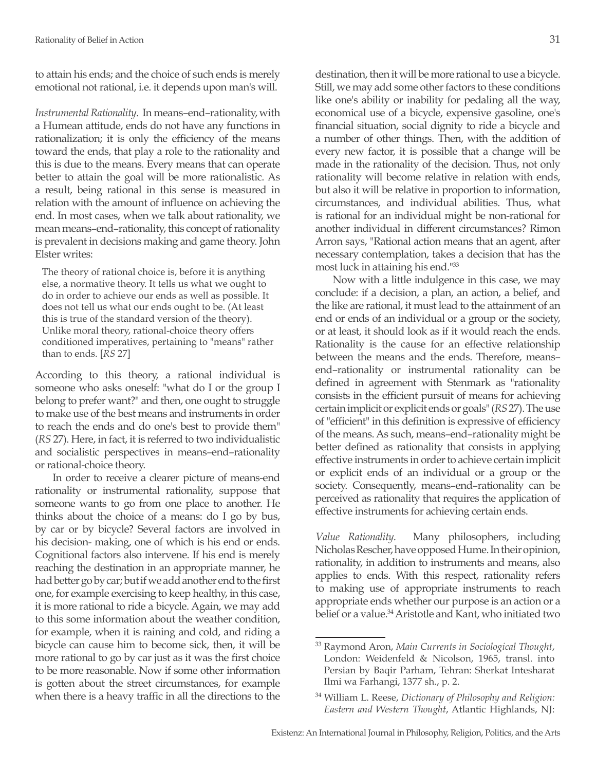to attain his ends; and the choice of such ends is merely emotional not rational, i.e. it depends upon man's will.

*Instrumental Rationality*. In means–end–rationality, with a Humean attitude, ends do not have any functions in rationalization; it is only the efficiency of the means toward the ends, that play a role to the rationality and this is due to the means. Every means that can operate better to attain the goal will be more rationalistic. As a result, being rational in this sense is measured in relation with the amount of influence on achieving the end. In most cases, when we talk about rationality, we mean means–end–rationality, this concept of rationality is prevalent in decisions making and game theory. John Elster writes:

The theory of rational choice is, before it is anything else, a normative theory. It tells us what we ought to do in order to achieve our ends as well as possible. It does not tell us what our ends ought to be. (At least this is true of the standard version of the theory). Unlike moral theory, rational-choice theory offers conditioned imperatives, pertaining to "means" rather than to ends. [*RS* 27]

According to this theory, a rational individual is someone who asks oneself: "what do I or the group I belong to prefer want?" and then, one ought to struggle to make use of the best means and instruments in order to reach the ends and do one's best to provide them" (*RS* 27). Here, in fact, it is referred to two individualistic and socialistic perspectives in means–end–rationality or rational-choice theory.

In order to receive a clearer picture of means-end rationality or instrumental rationality, suppose that someone wants to go from one place to another. He thinks about the choice of a means: do I go by bus, by car or by bicycle? Several factors are involved in his decision- making, one of which is his end or ends. Cognitional factors also intervene. If his end is merely reaching the destination in an appropriate manner, he had better go by car; but if we add another end to the first one, for example exercising to keep healthy, in this case, it is more rational to ride a bicycle. Again, we may add to this some information about the weather condition, for example, when it is raining and cold, and riding a bicycle can cause him to become sick, then, it will be more rational to go by car just as it was the first choice to be more reasonable. Now if some other information is gotten about the street circumstances, for example when there is a heavy traffic in all the directions to the

destination, then it will be more rational to use a bicycle. Still, we may add some other factors to these conditions like one's ability or inability for pedaling all the way, economical use of a bicycle, expensive gasoline, one's financial situation, social dignity to ride a bicycle and a number of other things. Then, with the addition of every new factor, it is possible that a change will be made in the rationality of the decision. Thus, not only rationality will become relative in relation with ends, but also it will be relative in proportion to information, circumstances, and individual abilities. Thus, what is rational for an individual might be non-rational for another individual in different circumstances? Rimon Arron says, "Rational action means that an agent, after necessary contemplation, takes a decision that has the most luck in attaining his end."<sup>33</sup>

Now with a little indulgence in this case, we may conclude: if a decision, a plan, an action, a belief, and the like are rational, it must lead to the attainment of an end or ends of an individual or a group or the society, or at least, it should look as if it would reach the ends. Rationality is the cause for an effective relationship between the means and the ends. Therefore, means– end–rationality or instrumental rationality can be defined in agreement with Stenmark as "rationality consists in the efficient pursuit of means for achieving certain implicit or explicit ends or goals" (*RS* 27). The use of "efficient" in this definition is expressive of efficiency of the means. As such, means–end–rationality might be better defined as rationality that consists in applying effective instruments in order to achieve certain implicit or explicit ends of an individual or a group or the society. Consequently, means–end–rationality can be perceived as rationality that requires the application of effective instruments for achieving certain ends.

*Value Rationality*. Many philosophers, including Nicholas Rescher, have opposed Hume. In their opinion, rationality, in addition to instruments and means, also applies to ends. With this respect, rationality refers to making use of appropriate instruments to reach appropriate ends whether our purpose is an action or a belief or a value.<sup>34</sup> Aristotle and Kant, who initiated two

<sup>33</sup> Raymond Aron, *Main Currents in Sociological Thought*, London: Weidenfeld & Nicolson, 1965, transl. into Persian by Baqir Parham, Tehran: Sherkat Intesharat Ilmi wa Farhangi, 1377 sh., p. 2.

<sup>34</sup> William L. Reese, *Dictionary of Philosophy and Religion: Eastern and Western Thought*, Atlantic Highlands, NJ: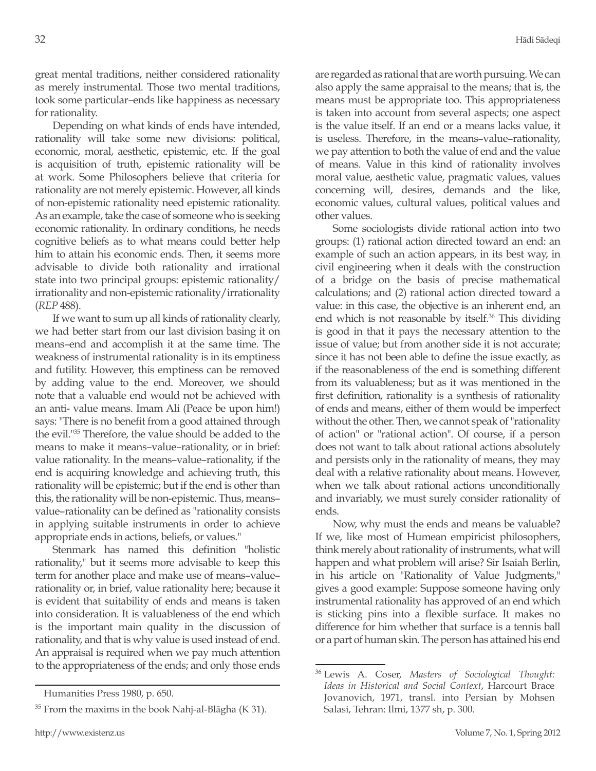great mental traditions, neither considered rationality as merely instrumental. Those two mental traditions, took some particular–ends like happiness as necessary for rationality.

Depending on what kinds of ends have intended, rationality will take some new divisions: political, economic, moral, aesthetic, epistemic, etc. If the goal is acquisition of truth, epistemic rationality will be at work. Some Philosophers believe that criteria for rationality are not merely epistemic. However, all kinds of non-epistemic rationality need epistemic rationality. As an example, take the case of someone who is seeking economic rationality. In ordinary conditions, he needs cognitive beliefs as to what means could better help him to attain his economic ends. Then, it seems more advisable to divide both rationality and irrational state into two principal groups: epistemic rationality/ irrationality and non-epistemic rationality/irrationality (*REP* 488).

If we want to sum up all kinds of rationality clearly, we had better start from our last division basing it on means–end and accomplish it at the same time. The weakness of instrumental rationality is in its emptiness and futility. However, this emptiness can be removed by adding value to the end. Moreover, we should note that a valuable end would not be achieved with an anti- value means. Imam Ali (Peace be upon him!) says: "There is no benefit from a good attained through the evil."35 Therefore, the value should be added to the means to make it means–value–rationality, or in brief: value rationality. In the means–value–rationality, if the end is acquiring knowledge and achieving truth, this rationality will be epistemic; but if the end is other than this, the rationality will be non-epistemic. Thus, means– value–rationality can be defined as "rationality consists in applying suitable instruments in order to achieve appropriate ends in actions, beliefs, or values."

Stenmark has named this definition "holistic rationality," but it seems more advisable to keep this term for another place and make use of means–value– rationality or, in brief, value rationality here; because it is evident that suitability of ends and means is taken into consideration. It is valuableness of the end which is the important main quality in the discussion of rationality, and that is why value is used instead of end. An appraisal is required when we pay much attention to the appropriateness of the ends; and only those ends

are regarded as rational that are worth pursuing. We can also apply the same appraisal to the means; that is, the means must be appropriate too. This appropriateness is taken into account from several aspects; one aspect is the value itself. If an end or a means lacks value, it is useless. Therefore, in the means–value–rationality, we pay attention to both the value of end and the value of means. Value in this kind of rationality involves moral value, aesthetic value, pragmatic values, values concerning will, desires, demands and the like, economic values, cultural values, political values and other values.

Some sociologists divide rational action into two groups: (1) rational action directed toward an end: an example of such an action appears, in its best way, in civil engineering when it deals with the construction of a bridge on the basis of precise mathematical calculations; and (2) rational action directed toward a value: in this case, the objective is an inherent end, an end which is not reasonable by itself.<sup>36</sup> This dividing is good in that it pays the necessary attention to the issue of value; but from another side it is not accurate; since it has not been able to define the issue exactly, as if the reasonableness of the end is something different from its valuableness; but as it was mentioned in the first definition, rationality is a synthesis of rationality of ends and means, either of them would be imperfect without the other. Then, we cannot speak of "rationality of action" or "rational action". Of course, if a person does not want to talk about rational actions absolutely and persists only in the rationality of means, they may deal with a relative rationality about means. However, when we talk about rational actions unconditionally and invariably, we must surely consider rationality of ends.

Now, why must the ends and means be valuable? If we, like most of Humean empiricist philosophers, think merely about rationality of instruments, what will happen and what problem will arise? Sir Isaiah Berlin, in his article on "Rationality of Value Judgments," gives a good example: Suppose someone having only instrumental rationality has approved of an end which is sticking pins into a flexible surface. It makes no difference for him whether that surface is a tennis ball or a part of human skin. The person has attained his end

Humanities Press 1980, p. 650.

 $35$  From the maxims in the book Nahj-al-Blāgha (K 31).

<sup>36</sup> Lewis A. Coser, *Masters of Sociological Thought: Ideas in Historical and Social Context*, Harcourt Brace Jovanovich, 1971, transl. into Persian by Mohsen Salasi, Tehran: Ilmi, 1377 sh, p. 300.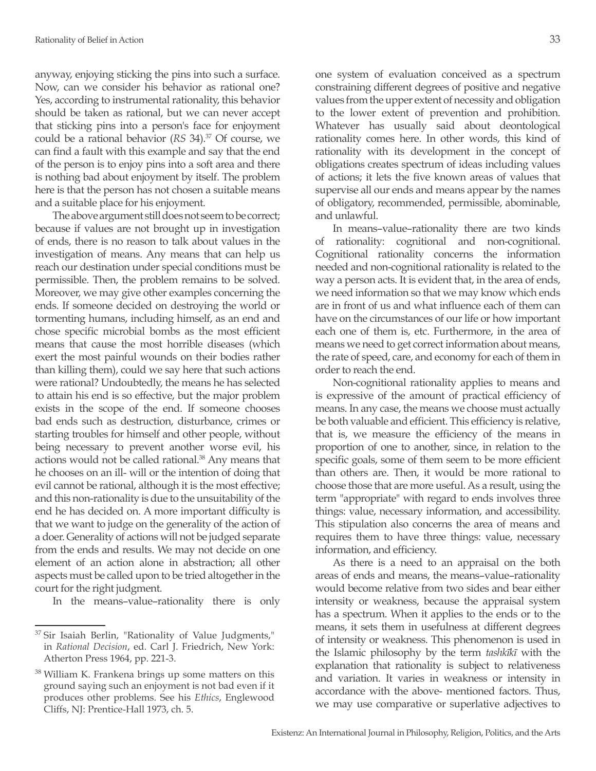anyway, enjoying sticking the pins into such a surface. Now, can we consider his behavior as rational one? Yes, according to instrumental rationality, this behavior should be taken as rational, but we can never accept that sticking pins into a person's face for enjoyment could be a rational behavior (*RS* 34).37 Of course, we can find a fault with this example and say that the end of the person is to enjoy pins into a soft area and there is nothing bad about enjoyment by itself. The problem here is that the person has not chosen a suitable means and a suitable place for his enjoyment.

The above argument still does not seem to be correct; because if values are not brought up in investigation of ends, there is no reason to talk about values in the investigation of means. Any means that can help us reach our destination under special conditions must be permissible. Then, the problem remains to be solved. Moreover, we may give other examples concerning the ends. If someone decided on destroying the world or tormenting humans, including himself, as an end and chose specific microbial bombs as the most efficient means that cause the most horrible diseases (which exert the most painful wounds on their bodies rather than killing them), could we say here that such actions were rational? Undoubtedly, the means he has selected to attain his end is so effective, but the major problem exists in the scope of the end. If someone chooses bad ends such as destruction, disturbance, crimes or starting troubles for himself and other people, without being necessary to prevent another worse evil, his actions would not be called rational.38 Any means that he chooses on an ill- will or the intention of doing that evil cannot be rational, although it is the most effective; and this non-rationality is due to the unsuitability of the end he has decided on. A more important difficulty is that we want to judge on the generality of the action of a doer. Generality of actions will not be judged separate from the ends and results. We may not decide on one element of an action alone in abstraction; all other aspects must be called upon to be tried altogether in the court for the right judgment.

In the means–value–rationality there is only

one system of evaluation conceived as a spectrum constraining different degrees of positive and negative values from the upper extent of necessity and obligation to the lower extent of prevention and prohibition. Whatever has usually said about deontological rationality comes here. In other words, this kind of rationality with its development in the concept of obligations creates spectrum of ideas including values of actions; it lets the five known areas of values that supervise all our ends and means appear by the names of obligatory, recommended, permissible, abominable, and unlawful.

In means–value–rationality there are two kinds of rationality: cognitional and non-cognitional. Cognitional rationality concerns the information needed and non-cognitional rationality is related to the way a person acts. It is evident that, in the area of ends, we need information so that we may know which ends are in front of us and what influence each of them can have on the circumstances of our life or how important each one of them is, etc. Furthermore, in the area of means we need to get correct information about means, the rate of speed, care, and economy for each of them in order to reach the end.

Non-cognitional rationality applies to means and is expressive of the amount of practical efficiency of means. In any case, the means we choose must actually be both valuable and efficient. This efficiency is relative, that is, we measure the efficiency of the means in proportion of one to another, since, in relation to the specific goals, some of them seem to be more efficient than others are. Then, it would be more rational to choose those that are more useful. As a result, using the term "appropriate" with regard to ends involves three things: value, necessary information, and accessibility. This stipulation also concerns the area of means and requires them to have three things: value, necessary information, and efficiency.

As there is a need to an appraisal on the both areas of ends and means, the means–value–rationality would become relative from two sides and bear either intensity or weakness, because the appraisal system has a spectrum. When it applies to the ends or to the means, it sets them in usefulness at different degrees of intensity or weakness. This phenomenon is used in the Islamic philosophy by the term *tashkīkī* with the explanation that rationality is subject to relativeness and variation. It varies in weakness or intensity in accordance with the above- mentioned factors. Thus, we may use comparative or superlative adjectives to

<sup>&</sup>lt;sup>37</sup> Sir Isaiah Berlin, "Rationality of Value Judgments," in *Rational Decision*, ed. Carl J. Friedrich, New York: Atherton Press 1964, pp. 221-3.

<sup>38</sup> William K. Frankena brings up some matters on this ground saying such an enjoyment is not bad even if it produces other problems. See his *Ethics*, Englewood Cliffs, NJ: Prentice-Hall 1973, ch. 5.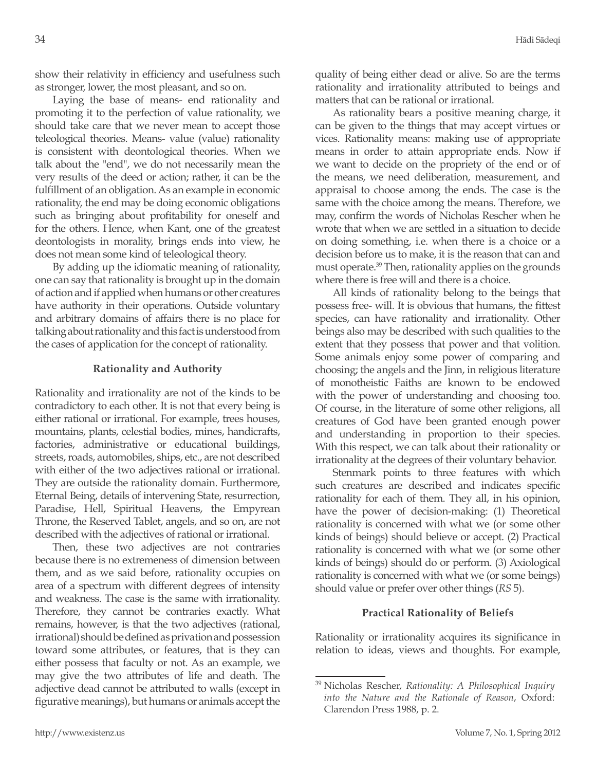show their relativity in efficiency and usefulness such as stronger, lower, the most pleasant, and so on.

Laying the base of means- end rationality and promoting it to the perfection of value rationality, we should take care that we never mean to accept those teleological theories. Means- value (value) rationality is consistent with deontological theories. When we talk about the "end", we do not necessarily mean the very results of the deed or action; rather, it can be the fulfillment of an obligation. As an example in economic rationality, the end may be doing economic obligations such as bringing about profitability for oneself and for the others. Hence, when Kant, one of the greatest deontologists in morality, brings ends into view, he does not mean some kind of teleological theory.

By adding up the idiomatic meaning of rationality, one can say that rationality is brought up in the domain of action and if applied when humans or other creatures have authority in their operations. Outside voluntary and arbitrary domains of affairs there is no place for talking about rationality and this fact is understood from the cases of application for the concept of rationality.

# **Rationality and Authority**

Rationality and irrationality are not of the kinds to be contradictory to each other. It is not that every being is either rational or irrational. For example, trees houses, mountains, plants, celestial bodies, mines, handicrafts, factories, administrative or educational buildings, streets, roads, automobiles, ships, etc., are not described with either of the two adjectives rational or irrational. They are outside the rationality domain. Furthermore, Eternal Being, details of intervening State, resurrection, Paradise, Hell, Spiritual Heavens, the Empyrean Throne, the Reserved Tablet, angels, and so on, are not described with the adjectives of rational or irrational.

Then, these two adjectives are not contraries because there is no extremeness of dimension between them, and as we said before, rationality occupies on area of a spectrum with different degrees of intensity and weakness. The case is the same with irrationality. Therefore, they cannot be contraries exactly. What remains, however, is that the two adjectives (rational, irrational) should be defined as privation and possession toward some attributes, or features, that is they can either possess that faculty or not. As an example, we may give the two attributes of life and death. The adjective dead cannot be attributed to walls (except in figurative meanings), but humans or animals accept the

quality of being either dead or alive. So are the terms rationality and irrationality attributed to beings and matters that can be rational or irrational.

As rationality bears a positive meaning charge, it can be given to the things that may accept virtues or vices. Rationality means: making use of appropriate means in order to attain appropriate ends. Now if we want to decide on the propriety of the end or of the means, we need deliberation, measurement, and appraisal to choose among the ends. The case is the same with the choice among the means. Therefore, we may, confirm the words of Nicholas Rescher when he wrote that when we are settled in a situation to decide on doing something, i.e. when there is a choice or a decision before us to make, it is the reason that can and must operate.39 Then, rationality applies on the grounds where there is free will and there is a choice.

All kinds of rationality belong to the beings that possess free- will. It is obvious that humans, the fittest species, can have rationality and irrationality. Other beings also may be described with such qualities to the extent that they possess that power and that volition. Some animals enjoy some power of comparing and choosing; the angels and the Jinn, in religious literature of monotheistic Faiths are known to be endowed with the power of understanding and choosing too. Of course, in the literature of some other religions, all creatures of God have been granted enough power and understanding in proportion to their species. With this respect, we can talk about their rationality or irrationality at the degrees of their voluntary behavior.

Stenmark points to three features with which such creatures are described and indicates specific rationality for each of them. They all, in his opinion, have the power of decision-making: (1) Theoretical rationality is concerned with what we (or some other kinds of beings) should believe or accept. (2) Practical rationality is concerned with what we (or some other kinds of beings) should do or perform. (3) Axiological rationality is concerned with what we (or some beings) should value or prefer over other things (*RS* 5).

# **Practical Rationality of Beliefs**

Rationality or irrationality acquires its significance in relation to ideas, views and thoughts. For example,

<sup>39</sup> Nicholas Rescher, *Rationality: A Philosophical Inquiry into the Nature and the Rationale of Reason*, Oxford: Clarendon Press 1988, p. 2.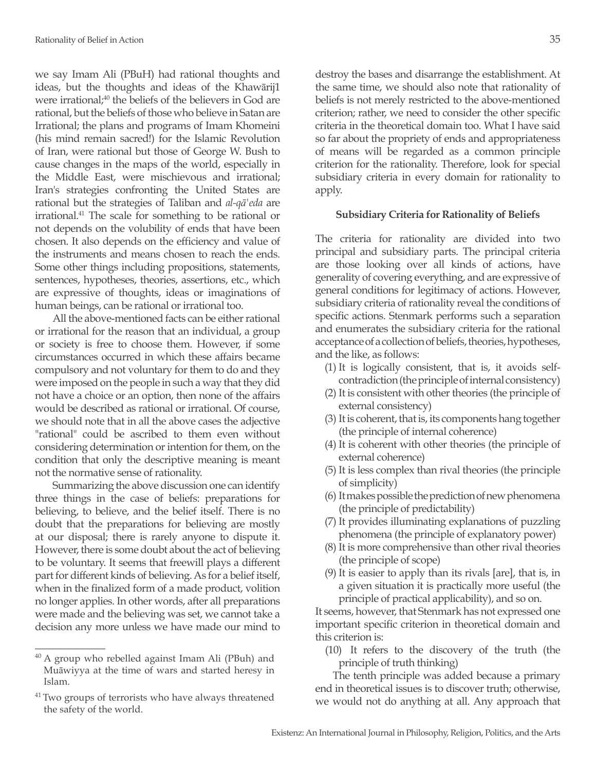we say Imam Ali (PBuH) had rational thoughts and ideas, but the thoughts and ideas of the Khawārij1 were irrational; $40$  the beliefs of the believers in God are rational, but the beliefs of those who believe in Satan are Irrational; the plans and programs of Imam Khomeini (his mind remain sacred!) for the Islamic Revolution of Iran, were rational but those of George W. Bush to cause changes in the maps of the world, especially in the Middle East, were mischievous and irrational; Iran's strategies confronting the United States are rational but the strategies of Taliban and *al-qā'eda* are irrational.41 The scale for something to be rational or not depends on the volubility of ends that have been chosen. It also depends on the efficiency and value of the instruments and means chosen to reach the ends. Some other things including propositions, statements, sentences, hypotheses, theories, assertions, etc., which are expressive of thoughts, ideas or imaginations of human beings, can be rational or irrational too.

All the above-mentioned facts can be either rational or irrational for the reason that an individual, a group or society is free to choose them. However, if some circumstances occurred in which these affairs became compulsory and not voluntary for them to do and they were imposed on the people in such a way that they did not have a choice or an option, then none of the affairs would be described as rational or irrational. Of course, we should note that in all the above cases the adjective "rational" could be ascribed to them even without considering determination or intention for them, on the condition that only the descriptive meaning is meant not the normative sense of rationality.

Summarizing the above discussion one can identify three things in the case of beliefs: preparations for believing, to believe, and the belief itself. There is no doubt that the preparations for believing are mostly at our disposal; there is rarely anyone to dispute it. However, there is some doubt about the act of believing to be voluntary. It seems that freewill plays a different part for different kinds of believing. As for a belief itself, when in the finalized form of a made product, volition no longer applies. In other words, after all preparations were made and the believing was set, we cannot take a decision any more unless we have made our mind to destroy the bases and disarrange the establishment. At the same time, we should also note that rationality of beliefs is not merely restricted to the above-mentioned criterion; rather, we need to consider the other specific criteria in the theoretical domain too. What I have said so far about the propriety of ends and appropriateness of means will be regarded as a common principle criterion for the rationality. Therefore, look for special subsidiary criteria in every domain for rationality to apply.

# **Subsidiary Criteria for Rationality of Beliefs**

The criteria for rationality are divided into two principal and subsidiary parts. The principal criteria are those looking over all kinds of actions, have generality of covering everything, and are expressive of general conditions for legitimacy of actions. However, subsidiary criteria of rationality reveal the conditions of specific actions. Stenmark performs such a separation and enumerates the subsidiary criteria for the rational acceptance of a collection of beliefs, theories, hypotheses, and the like, as follows:

- (1) It is logically consistent, that is, it avoids selfcontradiction (the principle of internal consistency)
- (2) It is consistent with other theories (the principle of external consistency)
- (3) It is coherent, that is, its components hang together (the principle of internal coherence)
- (4) It is coherent with other theories (the principle of external coherence)
- (5) It is less complex than rival theories (the principle of simplicity)
- (6) It makes possible the prediction of new phenomena (the principle of predictability)
- (7) It provides illuminating explanations of puzzling phenomena (the principle of explanatory power)
- (8) It is more comprehensive than other rival theories (the principle of scope)
- (9) It is easier to apply than its rivals [are], that is, in a given situation it is practically more useful (the principle of practical applicability), and so on.

It seems, however, that Stenmark has not expressed one important specific criterion in theoretical domain and this criterion is:

(10) It refers to the discovery of the truth (the principle of truth thinking)

The tenth principle was added because a primary end in theoretical issues is to discover truth; otherwise, we would not do anything at all. Any approach that

<sup>40</sup> A group who rebelled against Imam Ali (PBuh) and Muāwiyya at the time of wars and started heresy in Islam.

<sup>&</sup>lt;sup>41</sup> Two groups of terrorists who have always threatened the safety of the world.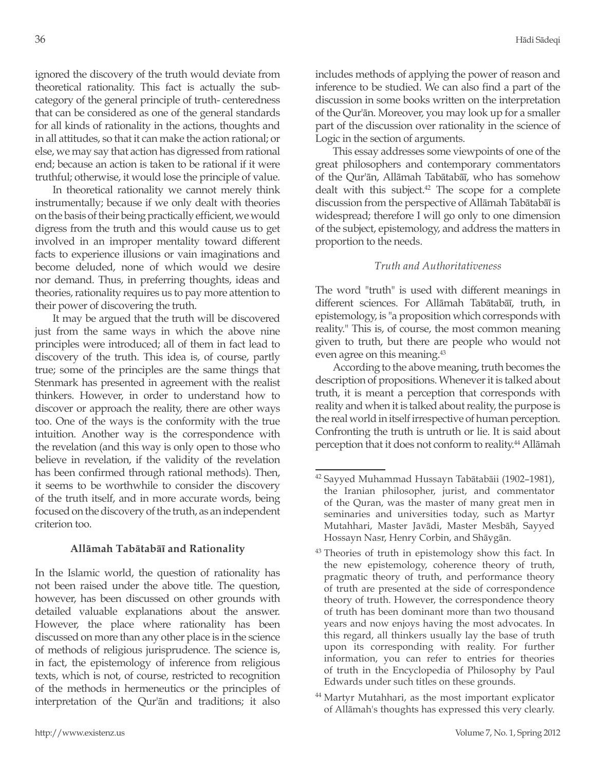ignored the discovery of the truth would deviate from theoretical rationality. This fact is actually the subcategory of the general principle of truth- centeredness that can be considered as one of the general standards for all kinds of rationality in the actions, thoughts and in all attitudes, so that it can make the action rational; or else, we may say that action has digressed from rational end; because an action is taken to be rational if it were truthful; otherwise, it would lose the principle of value.

In theoretical rationality we cannot merely think instrumentally; because if we only dealt with theories on the basis of their being practically efficient, we would digress from the truth and this would cause us to get involved in an improper mentality toward different facts to experience illusions or vain imaginations and become deluded, none of which would we desire nor demand. Thus, in preferring thoughts, ideas and theories, rationality requires us to pay more attention to their power of discovering the truth.

It may be argued that the truth will be discovered just from the same ways in which the above nine principles were introduced; all of them in fact lead to discovery of the truth. This idea is, of course, partly true; some of the principles are the same things that Stenmark has presented in agreement with the realist thinkers. However, in order to understand how to discover or approach the reality, there are other ways too. One of the ways is the conformity with the true intuition. Another way is the correspondence with the revelation (and this way is only open to those who believe in revelation, if the validity of the revelation has been confirmed through rational methods). Then, it seems to be worthwhile to consider the discovery of the truth itself, and in more accurate words, being focused on the discovery of the truth, as an independent criterion too.

# **Allāmah Tabātabāī and Rationality**

In the Islamic world, the question of rationality has not been raised under the above title. The question, however, has been discussed on other grounds with detailed valuable explanations about the answer. However, the place where rationality has been discussed on more than any other place is in the science of methods of religious jurisprudence. The science is, in fact, the epistemology of inference from religious texts, which is not, of course, restricted to recognition of the methods in hermeneutics or the principles of interpretation of the Qur'ān and traditions; it also includes methods of applying the power of reason and inference to be studied. We can also find a part of the discussion in some books written on the interpretation of the Qur'ān. Moreover, you may look up for a smaller part of the discussion over rationality in the science of Logic in the section of arguments.

This essay addresses some viewpoints of one of the great philosophers and contemporary commentators of the Qur'ān, Allāmah Tabātabāī, who has somehow dealt with this subject.<sup>42</sup> The scope for a complete discussion from the perspective of Allāmah Tabātabāī is widespread; therefore I will go only to one dimension of the subject, epistemology, and address the matters in proportion to the needs.

# *Truth and Authoritativeness*

The word "truth" is used with different meanings in different sciences. For Allāmah Tabātabāī, truth, in epistemology, is "a proposition which corresponds with reality." This is, of course, the most common meaning given to truth, but there are people who would not even agree on this meaning.<sup>43</sup>

According to the above meaning, truth becomes the description of propositions. Whenever it is talked about truth, it is meant a perception that corresponds with reality and when it is talked about reality, the purpose is the real world in itself irrespective of human perception. Confronting the truth is untruth or lie. It is said about perception that it does not conform to reality.<sup>44</sup> Allāmah

<sup>44</sup> Martyr Mutahhari, as the most important explicator of Allāmah's thoughts has expressed this very clearly.

<sup>42</sup> Sayyed Muhammad Hussayn Tabātabāii (1902–1981), the Iranian philosopher, jurist, and commentator of the Quran, was the master of many great men in seminaries and universities today, such as Martyr Mutahhari, Master Javādi, Master Mesbāh, Sayyed Hossayn Nasr, Henry Corbin, and Shāygān.

<sup>&</sup>lt;sup>43</sup> Theories of truth in epistemology show this fact. In the new epistemology, coherence theory of truth, pragmatic theory of truth, and performance theory of truth are presented at the side of correspondence theory of truth. However, the correspondence theory of truth has been dominant more than two thousand years and now enjoys having the most advocates. In this regard, all thinkers usually lay the base of truth upon its corresponding with reality. For further information, you can refer to entries for theories of truth in the Encyclopedia of Philosophy by Paul Edwards under such titles on these grounds.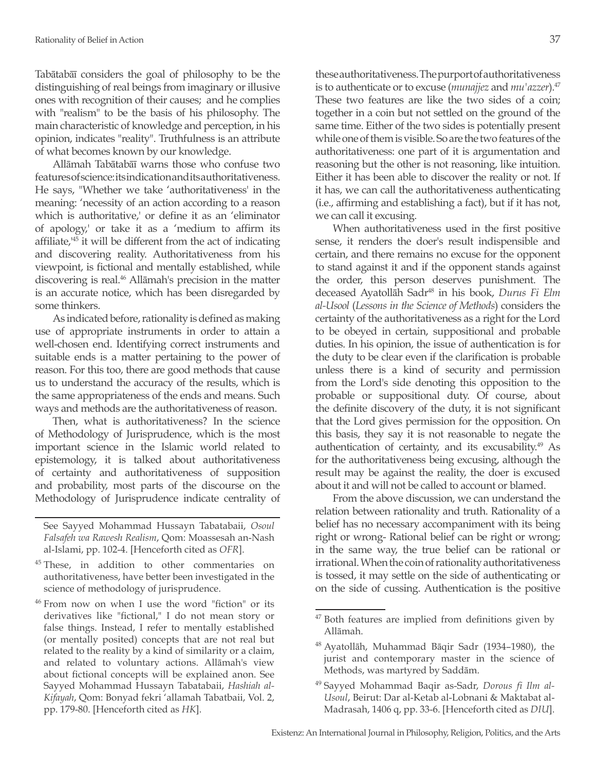Tabātabāī considers the goal of philosophy to be the distinguishing of real beings from imaginary or illusive ones with recognition of their causes; and he complies with "realism" to be the basis of his philosophy. The main characteristic of knowledge and perception, in his opinion, indicates "reality". Truthfulness is an attribute of what becomes known by our knowledge.

Allāmah Tabātabāī warns those who confuse two features of science: its indication and its authoritativeness. He says, "Whether we take 'authoritativeness' in the meaning: 'necessity of an action according to a reason which is authoritative,' or define it as an 'eliminator of apology,' or take it as a 'medium to affirm its affiliate,'45 it will be different from the act of indicating and discovering reality. Authoritativeness from his viewpoint, is fictional and mentally established, while discovering is real.46 Allāmah's precision in the matter is an accurate notice, which has been disregarded by some thinkers.

As indicated before, rationality is defined as making use of appropriate instruments in order to attain a well-chosen end. Identifying correct instruments and suitable ends is a matter pertaining to the power of reason. For this too, there are good methods that cause us to understand the accuracy of the results, which is the same appropriateness of the ends and means. Such ways and methods are the authoritativeness of reason.

Then, what is authoritativeness? In the science of Methodology of Jurisprudence, which is the most important science in the Islamic world related to epistemology, it is talked about authoritativeness of certainty and authoritativeness of supposition and probability, most parts of the discourse on the Methodology of Jurisprudence indicate centrality of

- <sup>45</sup> These, in addition to other commentaries on authoritativeness, have better been investigated in the science of methodology of jurisprudence.
- <sup>46</sup> From now on when I use the word "fiction" or its derivatives like "fictional," I do not mean story or false things. Instead, I refer to mentally established (or mentally posited) concepts that are not real but related to the reality by a kind of similarity or a claim, and related to voluntary actions. Allāmah's view about fictional concepts will be explained anon. See Sayyed Mohammad Hussayn Tabatabaii, *Hashiah al-Kifayah*, Qom: Bonyad fekri 'allamah Tabatbaii, Vol. 2, pp. 179-80. [Henceforth cited as *HK*].

these authoritativeness. The purport of authoritativeness is to authenticate or to excuse (*munajjez* and *mu'azzer*).47 These two features are like the two sides of a coin; together in a coin but not settled on the ground of the same time. Either of the two sides is potentially present while one of them is visible. So are the two features of the authoritativeness: one part of it is argumentation and reasoning but the other is not reasoning, like intuition. Either it has been able to discover the reality or not. If it has, we can call the authoritativeness authenticating (i.e., affirming and establishing a fact), but if it has not, we can call it excusing.

When authoritativeness used in the first positive sense, it renders the doer's result indispensible and certain, and there remains no excuse for the opponent to stand against it and if the opponent stands against the order, this person deserves punishment. The deceased Ayatollāh Sadr48 in his book, *Durus Fi Elm al-Usool* (*Lessons in the Science of Methods*) considers the certainty of the authoritativeness as a right for the Lord to be obeyed in certain, suppositional and probable duties. In his opinion, the issue of authentication is for the duty to be clear even if the clarification is probable unless there is a kind of security and permission from the Lord's side denoting this opposition to the probable or suppositional duty. Of course, about the definite discovery of the duty, it is not significant that the Lord gives permission for the opposition. On this basis, they say it is not reasonable to negate the authentication of certainty, and its excusability.49 As for the authoritativeness being excusing, although the result may be against the reality, the doer is excused about it and will not be called to account or blamed.

From the above discussion, we can understand the relation between rationality and truth. Rationality of a belief has no necessary accompaniment with its being right or wrong- Rational belief can be right or wrong; in the same way, the true belief can be rational or irrational. When the coin of rationality authoritativeness is tossed, it may settle on the side of authenticating or on the side of cussing. Authentication is the positive

See Sayyed Mohammad Hussayn Tabatabaii, *Osoul Falsafeh wa Rawesh Realism*, Qom: Moassesah an-Nash al-Islami, pp. 102-4. [Henceforth cited as *OFR*].

 $47$  Both features are implied from definitions given by Allāmah.

<sup>48</sup> Ayatollāh, Muhammad Bāqir Sadr (1934–1980), the jurist and contemporary master in the science of Methods, was martyred by Saddām.

<sup>49</sup> Sayyed Mohammad Baqir as-Sadr, *Dorous fi Ilm al-Usoul*, Beirut: Dar al-Ketab al-Lobnani & Maktabat al-Madrasah, 1406 q, pp. 33-6. [Henceforth cited as *DIU*].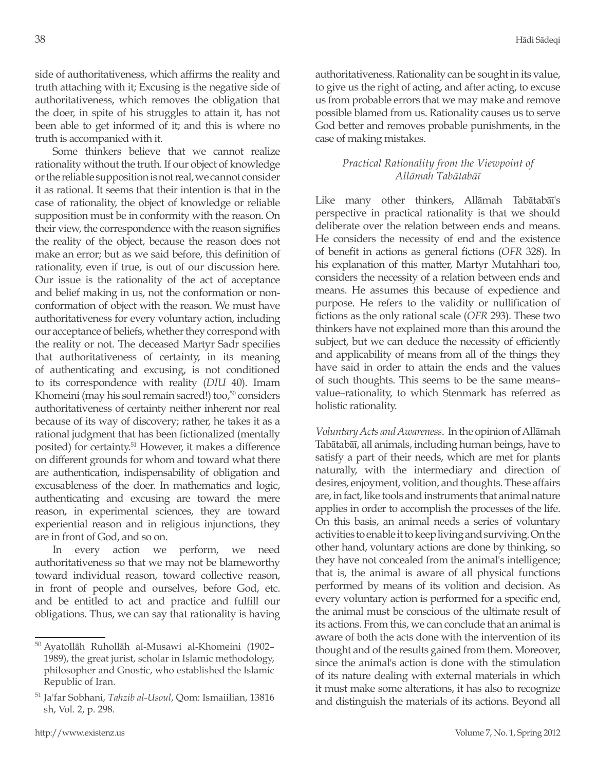side of authoritativeness, which affirms the reality and truth attaching with it; Excusing is the negative side of authoritativeness, which removes the obligation that the doer, in spite of his struggles to attain it, has not been able to get informed of it; and this is where no truth is accompanied with it.

Some thinkers believe that we cannot realize rationality without the truth. If our object of knowledge or the reliable supposition is not real, we cannot consider it as rational. It seems that their intention is that in the case of rationality, the object of knowledge or reliable supposition must be in conformity with the reason. On their view, the correspondence with the reason signifies the reality of the object, because the reason does not make an error; but as we said before, this definition of rationality, even if true, is out of our discussion here. Our issue is the rationality of the act of acceptance and belief making in us, not the conformation or nonconformation of object with the reason. We must have authoritativeness for every voluntary action, including our acceptance of beliefs, whether they correspond with the reality or not. The deceased Martyr Sadr specifies that authoritativeness of certainty, in its meaning of authenticating and excusing, is not conditioned to its correspondence with reality (*DIU* 40). Imam Khomeini (may his soul remain sacred!) too,<sup>50</sup> considers authoritativeness of certainty neither inherent nor real because of its way of discovery; rather, he takes it as a rational judgment that has been fictionalized (mentally posited) for certainty.<sup>51</sup> However, it makes a difference on different grounds for whom and toward what there are authentication, indispensability of obligation and excusableness of the doer. In mathematics and logic, authenticating and excusing are toward the mere reason, in experimental sciences, they are toward experiential reason and in religious injunctions, they are in front of God, and so on.

In every action we perform, we need authoritativeness so that we may not be blameworthy toward individual reason, toward collective reason, in front of people and ourselves, before God, etc. and be entitled to act and practice and fulfill our obligations. Thus, we can say that rationality is having authoritativeness. Rationality can be sought in its value, to give us the right of acting, and after acting, to excuse us from probable errors that we may make and remove possible blamed from us. Rationality causes us to serve God better and removes probable punishments, in the case of making mistakes.

# *Practical Rationality from the Viewpoint of Allāmah Tabātabāī*

Like many other thinkers, Allāmah Tabātabāī's perspective in practical rationality is that we should deliberate over the relation between ends and means. He considers the necessity of end and the existence of benefit in actions as general fictions (*OFR* 328). In his explanation of this matter, Martyr Mutahhari too, considers the necessity of a relation between ends and means. He assumes this because of expedience and purpose. He refers to the validity or nullification of fictions as the only rational scale (*OFR* 293). These two thinkers have not explained more than this around the subject, but we can deduce the necessity of efficiently and applicability of means from all of the things they have said in order to attain the ends and the values of such thoughts. This seems to be the same means– value–rationality, to which Stenmark has referred as holistic rationality.

*Voluntary Acts and Awareness*. In the opinion of Allāmah Tabātabāī, all animals, including human beings, have to satisfy a part of their needs, which are met for plants naturally, with the intermediary and direction of desires, enjoyment, volition, and thoughts. These affairs are, in fact, like tools and instruments that animal nature applies in order to accomplish the processes of the life. On this basis, an animal needs a series of voluntary activities to enable it to keep living and surviving. On the other hand, voluntary actions are done by thinking, so they have not concealed from the animal's intelligence; that is, the animal is aware of all physical functions performed by means of its volition and decision. As every voluntary action is performed for a specific end, the animal must be conscious of the ultimate result of its actions. From this, we can conclude that an animal is aware of both the acts done with the intervention of its thought and of the results gained from them. Moreover, since the animal's action is done with the stimulation of its nature dealing with external materials in which it must make some alterations, it has also to recognize and distinguish the materials of its actions. Beyond all

<sup>50</sup> Ayatollāh Ruhollāh al-Musawi al-Khomeini (1902– 1989), the great jurist, scholar in Islamic methodology, philosopher and Gnostic, who established the Islamic Republic of Iran.

<sup>51</sup> Ja'far Sobhani, *Tahzib al-Usoul*, Qom: Ismaiilian, 13816 sh, Vol. 2, p. 298.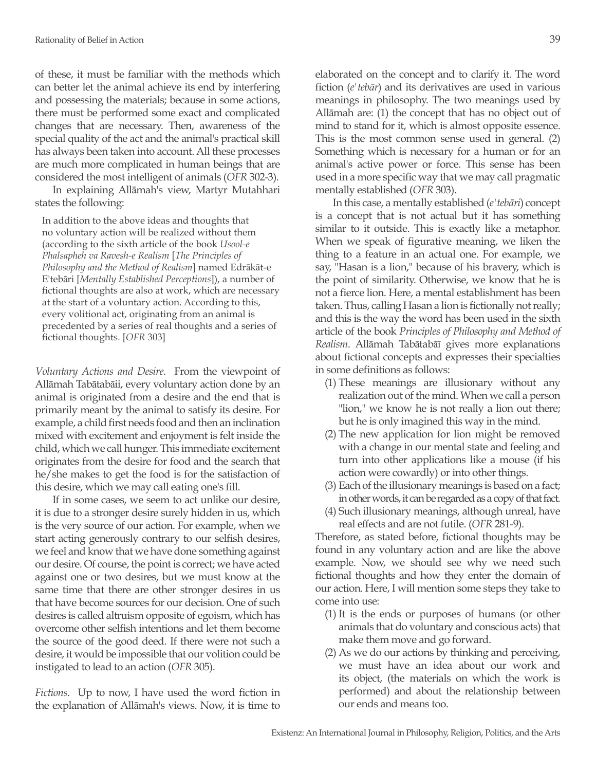of these, it must be familiar with the methods which can better let the animal achieve its end by interfering and possessing the materials; because in some actions, there must be performed some exact and complicated changes that are necessary. Then, awareness of the special quality of the act and the animal's practical skill has always been taken into account. All these processes are much more complicated in human beings that are considered the most intelligent of animals (*OFR* 302-3).

In explaining Allāmah's view, Martyr Mutahhari states the following:

In addition to the above ideas and thoughts that no voluntary action will be realized without them (according to the sixth article of the book *Usool-e Phalsapheh va Ravesh-e Realism* [*The Principles of Philosophy and the Method of Realism*] named Edrākāt-e E'tebāri [*Mentally Established Perceptions*]), a number of fictional thoughts are also at work, which are necessary at the start of a voluntary action. According to this, every volitional act, originating from an animal is precedented by a series of real thoughts and a series of fictional thoughts. [*OFR* 303]

*Voluntary Actions and Desire*. From the viewpoint of Allāmah Tabātabāii, every voluntary action done by an animal is originated from a desire and the end that is primarily meant by the animal to satisfy its desire. For example, a child first needs food and then an inclination mixed with excitement and enjoyment is felt inside the child, which we call hunger. This immediate excitement originates from the desire for food and the search that he/she makes to get the food is for the satisfaction of this desire, which we may call eating one's fill.

If in some cases, we seem to act unlike our desire, it is due to a stronger desire surely hidden in us, which is the very source of our action. For example, when we start acting generously contrary to our selfish desires, we feel and know that we have done something against our desire. Of course, the point is correct; we have acted against one or two desires, but we must know at the same time that there are other stronger desires in us that have become sources for our decision. One of such desires is called altruism opposite of egoism, which has overcome other selfish intentions and let them become the source of the good deed. If there were not such a desire, it would be impossible that our volition could be instigated to lead to an action (*OFR* 305).

*Fictions*. Up to now, I have used the word fiction in the explanation of Allāmah's views. Now, it is time to elaborated on the concept and to clarify it. The word fiction (*e'tebār*) and its derivatives are used in various meanings in philosophy. The two meanings used by Allāmah are: (1) the concept that has no object out of mind to stand for it, which is almost opposite essence. This is the most common sense used in general. (2) Something which is necessary for a human or for an animal's active power or force. This sense has been used in a more specific way that we may call pragmatic mentally established (*OFR* 303).

In this case, a mentally established (*e'tebāri*) concept is a concept that is not actual but it has something similar to it outside. This is exactly like a metaphor. When we speak of figurative meaning, we liken the thing to a feature in an actual one. For example, we say, "Hasan is a lion," because of his bravery, which is the point of similarity. Otherwise, we know that he is not a fierce lion. Here, a mental establishment has been taken. Thus, calling Hasan a lion is fictionally not really; and this is the way the word has been used in the sixth article of the book *Principles of Philosophy and Method of Realism*. Allāmah Tabātabāī gives more explanations about fictional concepts and expresses their specialties in some definitions as follows:

- (1) These meanings are illusionary without any realization out of the mind. When we call a person "lion," we know he is not really a lion out there; but he is only imagined this way in the mind.
- (2) The new application for lion might be removed with a change in our mental state and feeling and turn into other applications like a mouse (if his action were cowardly) or into other things.
- (3) Each of the illusionary meanings is based on a fact; in other words, it can be regarded as a copy of that fact.
- (4) Such illusionary meanings, although unreal, have real effects and are not futile. (*OFR* 281-9).

Therefore, as stated before, fictional thoughts may be found in any voluntary action and are like the above example. Now, we should see why we need such fictional thoughts and how they enter the domain of our action. Here, I will mention some steps they take to come into use:

- (1) It is the ends or purposes of humans (or other animals that do voluntary and conscious acts) that make them move and go forward.
- (2) As we do our actions by thinking and perceiving, we must have an idea about our work and its object, (the materials on which the work is performed) and about the relationship between our ends and means too.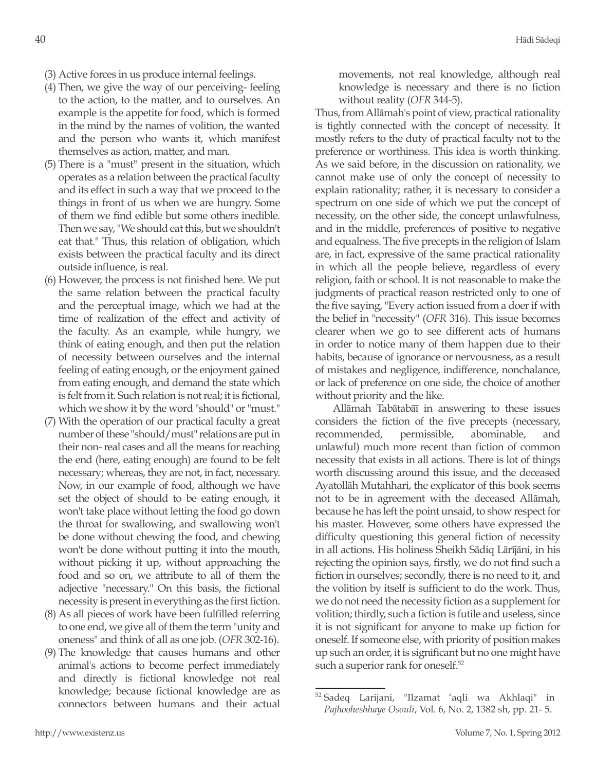- (3) Active forces in us produce internal feelings.
- (4) Then, we give the way of our perceiving- feeling to the action, to the matter, and to ourselves. An example is the appetite for food, which is formed in the mind by the names of volition, the wanted and the person who wants it, which manifest themselves as action, matter, and man.
- (5) There is a "must" present in the situation, which operates as a relation between the practical faculty and its effect in such a way that we proceed to the things in front of us when we are hungry. Some of them we find edible but some others inedible. Then we say, "We should eat this, but we shouldn't eat that." Thus, this relation of obligation, which exists between the practical faculty and its direct outside influence, is real.
- (6) However, the process is not finished here. We put the same relation between the practical faculty and the perceptual image, which we had at the time of realization of the effect and activity of the faculty. As an example, while hungry, we think of eating enough, and then put the relation of necessity between ourselves and the internal feeling of eating enough, or the enjoyment gained from eating enough, and demand the state which is felt from it. Such relation is not real; it is fictional, which we show it by the word "should" or "must."
- (7) With the operation of our practical faculty a great number of these "should/must" relations are put in their non- real cases and all the means for reaching the end (here, eating enough) are found to be felt necessary; whereas, they are not, in fact, necessary. Now, in our example of food, although we have set the object of should to be eating enough, it won't take place without letting the food go down the throat for swallowing, and swallowing won't be done without chewing the food, and chewing won't be done without putting it into the mouth, without picking it up, without approaching the food and so on, we attribute to all of them the adjective "necessary." On this basis, the fictional necessity is present in everything as the first fiction.
- (8) As all pieces of work have been fulfilled referring to one end, we give all of them the term "unity and oneness" and think of all as one job. (*OFR* 302-16).
- (9) The knowledge that causes humans and other animal's actions to become perfect immediately and directly is fictional knowledge not real knowledge; because fictional knowledge are as connectors between humans and their actual

movements, not real knowledge, although real knowledge is necessary and there is no fiction without reality (*OFR* 344-5).

Thus, from Allāmah's point of view, practical rationality is tightly connected with the concept of necessity. It mostly refers to the duty of practical faculty not to the preference or worthiness. This idea is worth thinking. As we said before, in the discussion on rationality, we cannot make use of only the concept of necessity to explain rationality; rather, it is necessary to consider a spectrum on one side of which we put the concept of necessity, on the other side, the concept unlawfulness, and in the middle, preferences of positive to negative and equalness. The five precepts in the religion of Islam are, in fact, expressive of the same practical rationality in which all the people believe, regardless of every religion, faith or school. It is not reasonable to make the judgments of practical reason restricted only to one of the five saying, "Every action issued from a doer if with the belief in "necessity" (*OFR* 316). This issue becomes clearer when we go to see different acts of humans in order to notice many of them happen due to their habits, because of ignorance or nervousness, as a result of mistakes and negligence, indifference, nonchalance, or lack of preference on one side, the choice of another without priority and the like.

Allāmah Tabātabāī in answering to these issues considers the fiction of the five precepts (necessary, recommended, permissible, abominable, and unlawful) much more recent than fiction of common necessity that exists in all actions. There is lot of things worth discussing around this issue, and the deceased Ayatollāh Mutahhari, the explicator of this book seems not to be in agreement with the deceased Allāmah, because he has left the point unsaid, to show respect for his master. However, some others have expressed the difficulty questioning this general fiction of necessity in all actions. His holiness Sheikh Sādiq Lārījāni, in his rejecting the opinion says, firstly, we do not find such a fiction in ourselves; secondly, there is no need to it, and the volition by itself is sufficient to do the work. Thus, we do not need the necessity fiction as a supplement for volition; thirdly, such a fiction is futile and useless, since it is not significant for anyone to make up fiction for oneself. If someone else, with priority of position makes up such an order, it is significant but no one might have such a superior rank for oneself.<sup>52</sup>

<sup>52</sup> Sadeq Larijani, "Ilzamat 'aqli wa Akhlaqi" in *Pajhooheshhaye Osouli*, Vol. 6, No. 2, 1382 sh, pp. 21- 5.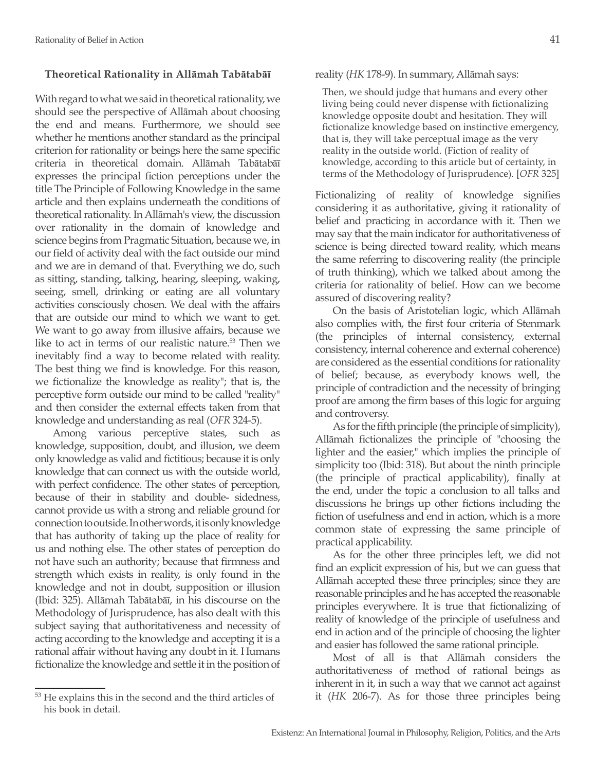# **Theoretical Rationality in Allāmah Tabātabāī**

With regard to what we said in theoretical rationality, we should see the perspective of Allāmah about choosing the end and means. Furthermore, we should see whether he mentions another standard as the principal criterion for rationality or beings here the same specific criteria in theoretical domain. Allāmah Tabātabāī expresses the principal fiction perceptions under the title The Principle of Following Knowledge in the same article and then explains underneath the conditions of theoretical rationality. In Allāmah's view, the discussion over rationality in the domain of knowledge and science begins from Pragmatic Situation, because we, in our field of activity deal with the fact outside our mind and we are in demand of that. Everything we do, such as sitting, standing, talking, hearing, sleeping, waking, seeing, smell, drinking or eating are all voluntary activities consciously chosen. We deal with the affairs that are outside our mind to which we want to get. We want to go away from illusive affairs, because we like to act in terms of our realistic nature.<sup>53</sup> Then we inevitably find a way to become related with reality. The best thing we find is knowledge. For this reason, we fictionalize the knowledge as reality"; that is, the perceptive form outside our mind to be called "reality" and then consider the external effects taken from that knowledge and understanding as real (*OFR* 324-5).

Among various perceptive states, such as knowledge, supposition, doubt, and illusion, we deem only knowledge as valid and fictitious; because it is only knowledge that can connect us with the outside world, with perfect confidence. The other states of perception, because of their in stability and double- sidedness, cannot provide us with a strong and reliable ground for connection to outside. In other words, it is only knowledge that has authority of taking up the place of reality for us and nothing else. The other states of perception do not have such an authority; because that firmness and strength which exists in reality, is only found in the knowledge and not in doubt, supposition or illusion (Ibid: 325). Allāmah Tabātabāī, in his discourse on the Methodology of Jurisprudence, has also dealt with this subject saying that authoritativeness and necessity of acting according to the knowledge and accepting it is a rational affair without having any doubt in it. Humans fictionalize the knowledge and settle it in the position of

# reality (*HK* 178-9). In summary, Allāmah says:

Then, we should judge that humans and every other living being could never dispense with fictionalizing knowledge opposite doubt and hesitation. They will fictionalize knowledge based on instinctive emergency, that is, they will take perceptual image as the very reality in the outside world. (Fiction of reality of knowledge, according to this article but of certainty, in terms of the Methodology of Jurisprudence). [*OFR* 325]

Fictionalizing of reality of knowledge signifies considering it as authoritative, giving it rationality of belief and practicing in accordance with it. Then we may say that the main indicator for authoritativeness of science is being directed toward reality, which means the same referring to discovering reality (the principle of truth thinking), which we talked about among the criteria for rationality of belief. How can we become assured of discovering reality?

On the basis of Aristotelian logic, which Allāmah also complies with, the first four criteria of Stenmark (the principles of internal consistency, external consistency, internal coherence and external coherence) are considered as the essential conditions for rationality of belief; because, as everybody knows well, the principle of contradiction and the necessity of bringing proof are among the firm bases of this logic for arguing and controversy.

As for the fifth principle (the principle of simplicity), Allāmah fictionalizes the principle of "choosing the lighter and the easier," which implies the principle of simplicity too (Ibid: 318). But about the ninth principle (the principle of practical applicability), finally at the end, under the topic a conclusion to all talks and discussions he brings up other fictions including the fiction of usefulness and end in action, which is a more common state of expressing the same principle of practical applicability.

As for the other three principles left, we did not find an explicit expression of his, but we can guess that Allāmah accepted these three principles; since they are reasonable principles and he has accepted the reasonable principles everywhere. It is true that fictionalizing of reality of knowledge of the principle of usefulness and end in action and of the principle of choosing the lighter and easier has followed the same rational principle.

Most of all is that Allāmah considers the authoritativeness of method of rational beings as inherent in it, in such a way that we cannot act against it (*HK* 206-7). As for those three principles being

<sup>53</sup> He explains this in the second and the third articles of his book in detail.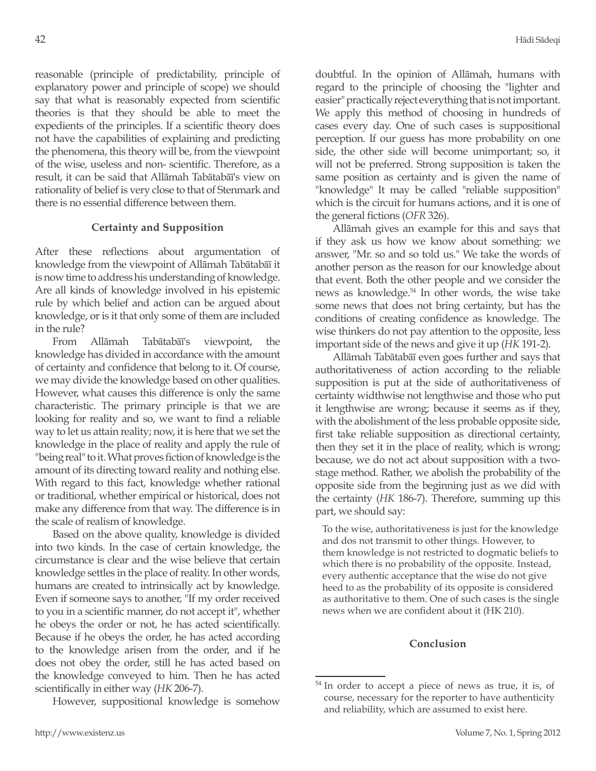reasonable (principle of predictability, principle of explanatory power and principle of scope) we should say that what is reasonably expected from scientific theories is that they should be able to meet the expedients of the principles. If a scientific theory does not have the capabilities of explaining and predicting the phenomena, this theory will be, from the viewpoint of the wise, useless and non- scientific. Therefore, as a result, it can be said that Allāmah Tabātabāī's view on rationality of belief is very close to that of Stenmark and there is no essential difference between them.

## **Certainty and Supposition**

After these reflections about argumentation of knowledge from the viewpoint of Allāmah Tabātabāī it is now time to address his understanding of knowledge. Are all kinds of knowledge involved in his epistemic rule by which belief and action can be argued about knowledge, or is it that only some of them are included in the rule?

From Allāmah Tabātabāī's viewpoint, the knowledge has divided in accordance with the amount of certainty and confidence that belong to it. Of course, we may divide the knowledge based on other qualities. However, what causes this difference is only the same characteristic. The primary principle is that we are looking for reality and so, we want to find a reliable way to let us attain reality; now, it is here that we set the knowledge in the place of reality and apply the rule of "being real" to it. What proves fiction of knowledge is the amount of its directing toward reality and nothing else. With regard to this fact, knowledge whether rational or traditional, whether empirical or historical, does not make any difference from that way. The difference is in the scale of realism of knowledge.

Based on the above quality, knowledge is divided into two kinds. In the case of certain knowledge, the circumstance is clear and the wise believe that certain knowledge settles in the place of reality. In other words, humans are created to intrinsically act by knowledge. Even if someone says to another, "If my order received to you in a scientific manner, do not accept it", whether he obeys the order or not, he has acted scientifically. Because if he obeys the order, he has acted according to the knowledge arisen from the order, and if he does not obey the order, still he has acted based on the knowledge conveyed to him. Then he has acted scientifically in either way (*HK* 206-7).

However, suppositional knowledge is somehow

doubtful. In the opinion of Allāmah, humans with regard to the principle of choosing the "lighter and easier" practically reject everything that is not important. We apply this method of choosing in hundreds of cases every day. One of such cases is suppositional perception. If our guess has more probability on one side, the other side will become unimportant; so, it will not be preferred. Strong supposition is taken the same position as certainty and is given the name of "knowledge" It may be called "reliable supposition" which is the circuit for humans actions, and it is one of the general fictions (*OFR* 326).

Allāmah gives an example for this and says that if they ask us how we know about something: we answer, "Mr. so and so told us." We take the words of another person as the reason for our knowledge about that event. Both the other people and we consider the news as knowledge.<sup>54</sup> In other words, the wise take some news that does not bring certainty, but has the conditions of creating confidence as knowledge. The wise thinkers do not pay attention to the opposite, less important side of the news and give it up (*HK* 191-2).

Allāmah Tabātabāī even goes further and says that authoritativeness of action according to the reliable supposition is put at the side of authoritativeness of certainty widthwise not lengthwise and those who put it lengthwise are wrong; because it seems as if they, with the abolishment of the less probable opposite side, first take reliable supposition as directional certainty, then they set it in the place of reality, which is wrong; because, we do not act about supposition with a twostage method. Rather, we abolish the probability of the opposite side from the beginning just as we did with the certainty (*HK* 186-7). Therefore, summing up this part, we should say:

To the wise, authoritativeness is just for the knowledge and dos not transmit to other things. However, to them knowledge is not restricted to dogmatic beliefs to which there is no probability of the opposite. Instead, every authentic acceptance that the wise do not give heed to as the probability of its opposite is considered as authoritative to them. One of such cases is the single news when we are confident about it (HK 210).

### **Conclusion**

<sup>54</sup> In order to accept a piece of news as true, it is, of course, necessary for the reporter to have authenticity and reliability, which are assumed to exist here.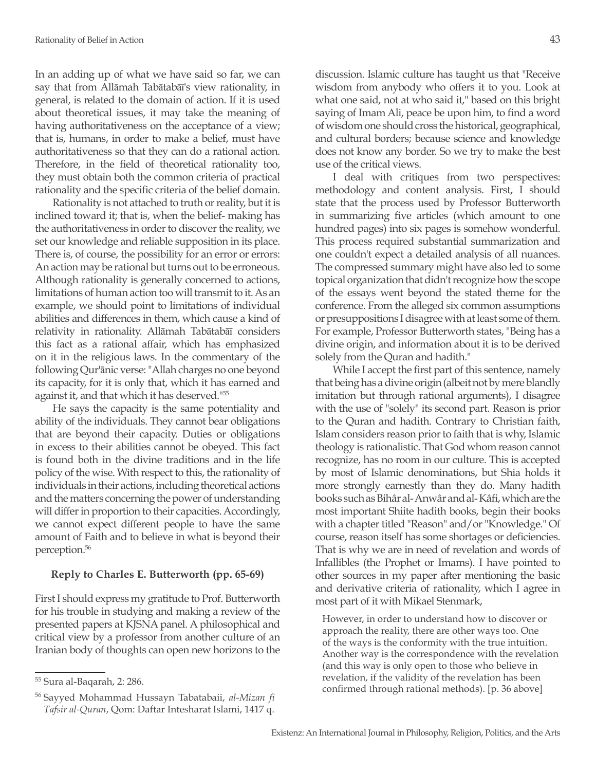In an adding up of what we have said so far, we can say that from Allāmah Tabātabāī's view rationality, in general, is related to the domain of action. If it is used about theoretical issues, it may take the meaning of having authoritativeness on the acceptance of a view; that is, humans, in order to make a belief, must have authoritativeness so that they can do a rational action. Therefore, in the field of theoretical rationality too, they must obtain both the common criteria of practical rationality and the specific criteria of the belief domain.

Rationality is not attached to truth or reality, but it is inclined toward it; that is, when the belief- making has the authoritativeness in order to discover the reality, we set our knowledge and reliable supposition in its place. There is, of course, the possibility for an error or errors: An action may be rational but turns out to be erroneous. Although rationality is generally concerned to actions, limitations of human action too will transmit to it. As an example, we should point to limitations of individual abilities and differences in them, which cause a kind of relativity in rationality. Allāmah Tabātabāī considers this fact as a rational affair, which has emphasized on it in the religious laws. In the commentary of the following Qur'ānic verse: "Allah charges no one beyond its capacity, for it is only that, which it has earned and against it, and that which it has deserved."<sup>55</sup>

He says the capacity is the same potentiality and ability of the individuals. They cannot bear obligations that are beyond their capacity. Duties or obligations in excess to their abilities cannot be obeyed. This fact is found both in the divine traditions and in the life policy of the wise. With respect to this, the rationality of individuals in their actions, including theoretical actions and the matters concerning the power of understanding will differ in proportion to their capacities. Accordingly, we cannot expect different people to have the same amount of Faith and to believe in what is beyond their perception.56

### **Reply to Charles E. Butterworth (pp. 65-69)**

First I should express my gratitude to Prof. Butterworth for his trouble in studying and making a review of the presented papers at KJSNA panel. A philosophical and critical view by a professor from another culture of an Iranian body of thoughts can open new horizons to the discussion. Islamic culture has taught us that "Receive wisdom from anybody who offers it to you. Look at what one said, not at who said it," based on this bright saying of Imam Ali, peace be upon him, to find a word of wisdom one should cross the historical, geographical, and cultural borders; because science and knowledge does not know any border. So we try to make the best use of the critical views.

I deal with critiques from two perspectives: methodology and content analysis. First, I should state that the process used by Professor Butterworth in summarizing five articles (which amount to one hundred pages) into six pages is somehow wonderful. This process required substantial summarization and one couldn't expect a detailed analysis of all nuances. The compressed summary might have also led to some topical organization that didn't recognize how the scope of the essays went beyond the stated theme for the conference. From the alleged six common assumptions or presuppositions I disagree with at least some of them. For example, Professor Butterworth states, "Being has a divine origin, and information about it is to be derived solely from the Quran and hadith."

While I accept the first part of this sentence, namely that being has a divine origin (albeit not by mere blandly imitation but through rational arguments), I disagree with the use of "solely" its second part. Reason is prior to the Quran and hadith. Contrary to Christian faith, Islam considers reason prior to faith that is why, Islamic theology is rationalistic. That God whom reason cannot recognize, has no room in our culture. This is accepted by most of Islamic denominations, but Shia holds it more strongly earnestly than they do. Many hadith books such as Bihâr al- Anwâr and al- Kâfi, which are the most important Shiite hadith books, begin their books with a chapter titled "Reason" and/or "Knowledge." Of course, reason itself has some shortages or deficiencies. That is why we are in need of revelation and words of Infallibles (the Prophet or Imams). I have pointed to other sources in my paper after mentioning the basic and derivative criteria of rationality, which I agree in most part of it with Mikael Stenmark,

However, in order to understand how to discover or approach the reality, there are other ways too. One of the ways is the conformity with the true intuition. Another way is the correspondence with the revelation (and this way is only open to those who believe in revelation, if the validity of the revelation has been confirmed through rational methods). [p. 36 above]

<sup>55</sup> Sura al-Baqarah, 2: 286.

<sup>56</sup> Sayyed Mohammad Hussayn Tabatabaii, *al-Mizan fi Tafsir al-Quran*, Qom: Daftar Intesharat Islami, 1417 q.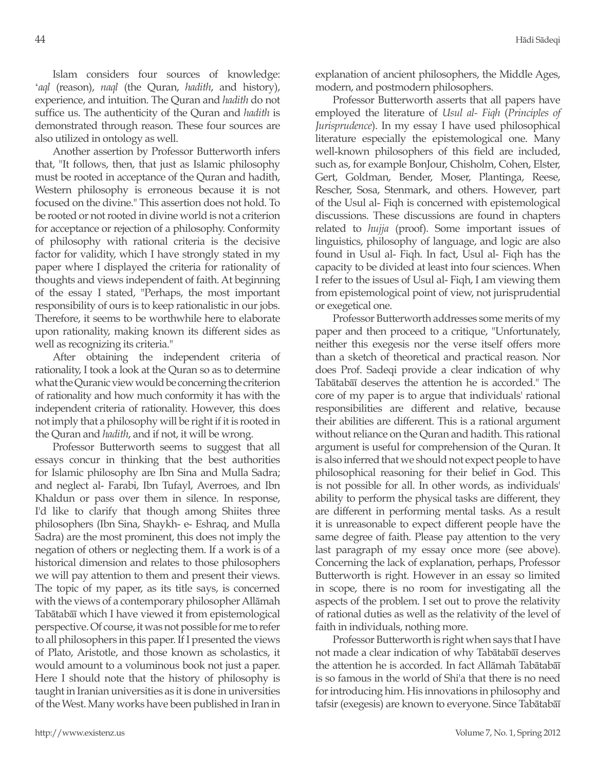Islam considers four sources of knowledge: '*aql* (reason), *naql* (the Quran, *hadith*, and history), experience, and intuition. The Quran and *hadith* do not suffice us. The authenticity of the Quran and *hadith* is demonstrated through reason. These four sources are also utilized in ontology as well.

Another assertion by Professor Butterworth infers that, "It follows, then, that just as Islamic philosophy must be rooted in acceptance of the Quran and hadith, Western philosophy is erroneous because it is not focused on the divine." This assertion does not hold. To be rooted or not rooted in divine world is not a criterion for acceptance or rejection of a philosophy. Conformity of philosophy with rational criteria is the decisive factor for validity, which I have strongly stated in my paper where I displayed the criteria for rationality of thoughts and views independent of faith. At beginning of the essay I stated, "Perhaps, the most important responsibility of ours is to keep rationalistic in our jobs. Therefore, it seems to be worthwhile here to elaborate upon rationality, making known its different sides as well as recognizing its criteria."

After obtaining the independent criteria of rationality, I took a look at the Quran so as to determine what the Quranic view would be concerning the criterion of rationality and how much conformity it has with the independent criteria of rationality. However, this does not imply that a philosophy will be right if it is rooted in the Quran and *hadith*, and if not, it will be wrong.

Professor Butterworth seems to suggest that all essays concur in thinking that the best authorities for Islamic philosophy are Ibn Sina and Mulla Sadra; and neglect al- Farabi, Ibn Tufayl, Averroes, and Ibn Khaldun or pass over them in silence. In response, I'd like to clarify that though among Shiites three philosophers (Ibn Sina, Shaykh- e- Eshraq, and Mulla Sadra) are the most prominent, this does not imply the negation of others or neglecting them. If a work is of a historical dimension and relates to those philosophers we will pay attention to them and present their views. The topic of my paper, as its title says, is concerned with the views of a contemporary philosopher Allāmah Tabātabāī which I have viewed it from epistemological perspective. Of course, it was not possible for me to refer to all philosophers in this paper. If I presented the views of Plato, Aristotle, and those known as scholastics, it would amount to a voluminous book not just a paper. Here I should note that the history of philosophy is taught in Iranian universities as it is done in universities of the West. Many works have been published in Iran in explanation of ancient philosophers, the Middle Ages, modern, and postmodern philosophers.

Professor Butterworth asserts that all papers have employed the literature of *Usul al- Fiqh* (*Principles of Jurisprudence*). In my essay I have used philosophical literature especially the epistemological one. Many well-known philosophers of this field are included, such as, for example BonJour, Chisholm, Cohen, Elster, Gert, Goldman, Bender, Moser, Plantinga, Reese, Rescher, Sosa, Stenmark, and others. However, part of the Usul al- Fiqh is concerned with epistemological discussions. These discussions are found in chapters related to *hujja* (proof). Some important issues of linguistics, philosophy of language, and logic are also found in Usul al- Fiqh. In fact, Usul al- Fiqh has the capacity to be divided at least into four sciences. When I refer to the issues of Usul al- Fiqh, I am viewing them from epistemological point of view, not jurisprudential or exegetical one.

Professor Butterworth addresses some merits of my paper and then proceed to a critique, "Unfortunately, neither this exegesis nor the verse itself offers more than a sketch of theoretical and practical reason. Nor does Prof. Sadeqi provide a clear indication of why Tabātabāī deserves the attention he is accorded." The core of my paper is to argue that individuals' rational responsibilities are different and relative, because their abilities are different. This is a rational argument without reliance on the Quran and hadith. This rational argument is useful for comprehension of the Quran. It is also inferred that we should not expect people to have philosophical reasoning for their belief in God. This is not possible for all. In other words, as individuals' ability to perform the physical tasks are different, they are different in performing mental tasks. As a result it is unreasonable to expect different people have the same degree of faith. Please pay attention to the very last paragraph of my essay once more (see above). Concerning the lack of explanation, perhaps, Professor Butterworth is right. However in an essay so limited in scope, there is no room for investigating all the aspects of the problem. I set out to prove the relativity of rational duties as well as the relativity of the level of faith in individuals, nothing more.

Professor Butterworth is right when says that I have not made a clear indication of why Tabātabāī deserves the attention he is accorded. In fact Allāmah Tabātabāī is so famous in the world of Shi'a that there is no need for introducing him. His innovations in philosophy and tafsir (exegesis) are known to everyone. Since Tabātabāī